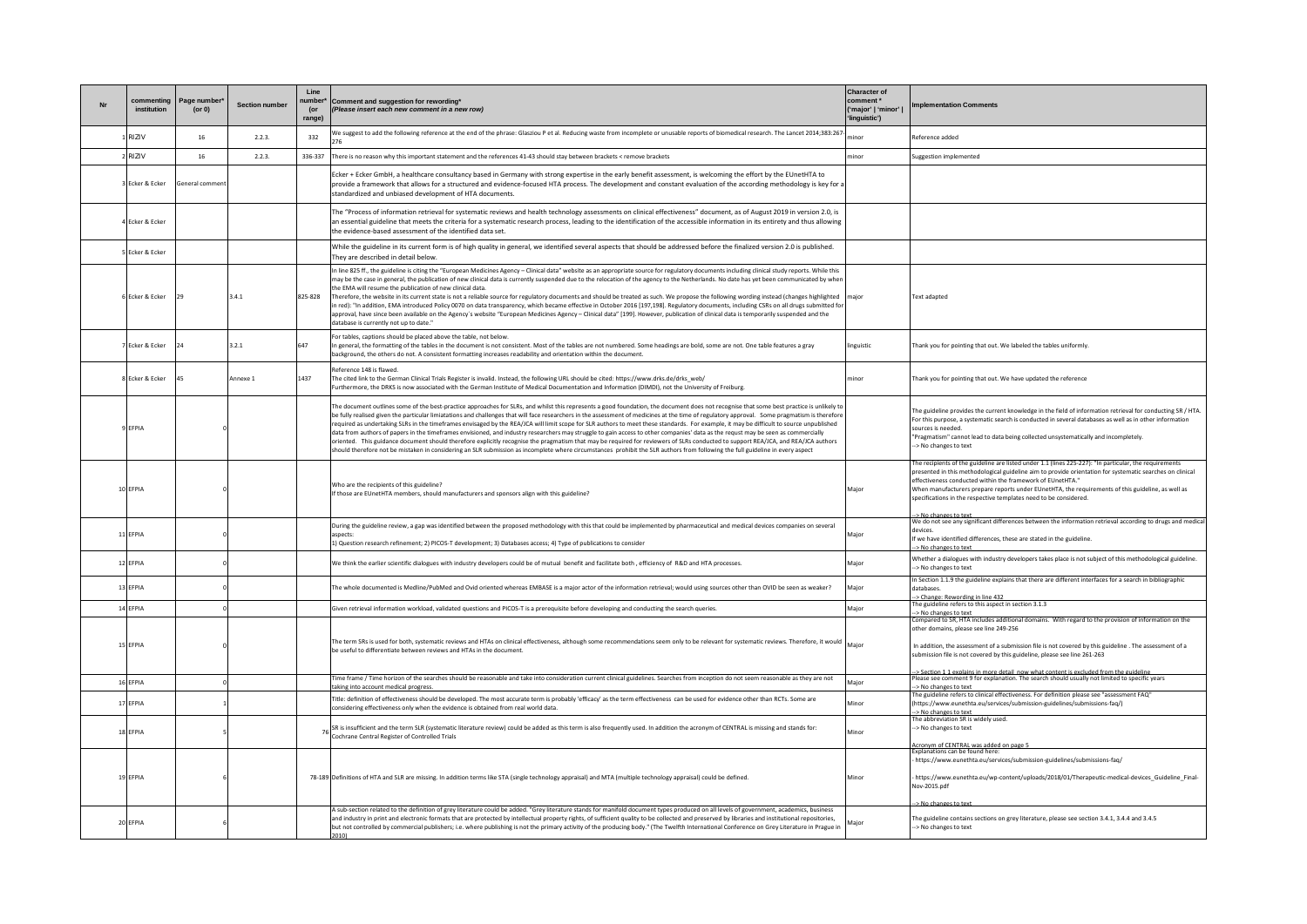| commenting<br>institution | Page number<br>$($ or 0 $)$ | <b>Section number</b> | Line<br>number<br>(or<br>range) | Comment and suggestion for rewording*<br>(Please insert each new comment in a new row)                                                                                                                                                                                                                                                                                                                                                                                                                                                                                                                                                                                                                                                                                                                                                                                                                                                                                                                                                                                                                                                              | <b>Character of</b><br>comment <sup>*</sup><br>('major'   'minor'  <br>'linguistic') | mplementation Comments                                                                                                                                                                                                                                                                                                                                                                                                                                      |
|---------------------------|-----------------------------|-----------------------|---------------------------------|-----------------------------------------------------------------------------------------------------------------------------------------------------------------------------------------------------------------------------------------------------------------------------------------------------------------------------------------------------------------------------------------------------------------------------------------------------------------------------------------------------------------------------------------------------------------------------------------------------------------------------------------------------------------------------------------------------------------------------------------------------------------------------------------------------------------------------------------------------------------------------------------------------------------------------------------------------------------------------------------------------------------------------------------------------------------------------------------------------------------------------------------------------|--------------------------------------------------------------------------------------|-------------------------------------------------------------------------------------------------------------------------------------------------------------------------------------------------------------------------------------------------------------------------------------------------------------------------------------------------------------------------------------------------------------------------------------------------------------|
| <b>RIZIV</b>              | 16                          | 2.2.3.                | 332                             | We suggest to add the following reference at the end of the phrase: Glasziou P et al. Reducing waste from incomplete or unusable reports of biomedical research. The Lancet 2014;383:267                                                                                                                                                                                                                                                                                                                                                                                                                                                                                                                                                                                                                                                                                                                                                                                                                                                                                                                                                            | ino                                                                                  | Reference added                                                                                                                                                                                                                                                                                                                                                                                                                                             |
| 2RIZIV                    | 16                          | 2.2.3                 | 336-337                         | There is no reason why this important statement and the references 41-43 should stay between brackets < remove brackets                                                                                                                                                                                                                                                                                                                                                                                                                                                                                                                                                                                                                                                                                                                                                                                                                                                                                                                                                                                                                             | minor                                                                                | Suggestion implemented                                                                                                                                                                                                                                                                                                                                                                                                                                      |
| 3 Ecker & Ecker           | General commer              |                       |                                 | Ecker + Ecker GmbH, a healthcare consultancy based in Germany with strong expertise in the early benefit assessment, is welcoming the effort by the EUnetHTA to<br>provide a framework that allows for a structured and evidence-focused HTA process. The development and constant evaluation of the according methodology is key for a<br>standardized and unbiased development of HTA documents.                                                                                                                                                                                                                                                                                                                                                                                                                                                                                                                                                                                                                                                                                                                                                  |                                                                                      |                                                                                                                                                                                                                                                                                                                                                                                                                                                             |
| 4 Ecker & Ecker           |                             |                       |                                 | The "Process of information retrieval for systematic reviews and health technology assessments on clinical effectiveness" document, as of August 2019 in version 2.0, is<br>an essential guideline that meets the criteria for a systematic research process, leading to the identification of the accessible information in its entirety and thus allowing<br>the evidence-based assessment of the identified data set.                                                                                                                                                                                                                                                                                                                                                                                                                                                                                                                                                                                                                                                                                                                            |                                                                                      |                                                                                                                                                                                                                                                                                                                                                                                                                                                             |
| Frker & Frker             |                             |                       |                                 | While the guideline in its current form is of high quality in general, we identified several aspects that should be addressed before the finalized version 2.0 is published.<br>They are described in detail below.                                                                                                                                                                                                                                                                                                                                                                                                                                                                                                                                                                                                                                                                                                                                                                                                                                                                                                                                 |                                                                                      |                                                                                                                                                                                                                                                                                                                                                                                                                                                             |
| 6 Ecker & Ecker           | 29                          | 3.4.1                 | 825-828                         | In line 825 ff., the guideline is citing the "European Medicines Agency - Clinical data" website as an appropriate source for regulatory documents including clinical study reports. While this<br>may be the case in general, the publication of new clinical data is currently suspended due to the relocation of the agency to the Netherlands. No date has yet been communicated by when<br>the FMA will resume the publication of new clinical data.<br>Therefore, the website in its current state is not a reliable source for regulatory documents and should be treated as such. We propose the following wording instead (changes highlighted<br>in red): "In addition, EMA introduced Policy 0070 on data transparency, which became effective in October 2016 [197,198]. Regulatory documents, including CSRs on all drugs submitted for<br>approval, have since been available on the Agency's website "European Medicines Agency - Clinical data" [199]. However, publication of clinical data is temporarily suspended and the<br>database is currently not up to date."                                                             | major                                                                                | <b>Text adapted</b>                                                                                                                                                                                                                                                                                                                                                                                                                                         |
| 7 Foker & Foker           | 24                          | 3.2.1                 | 647                             | For tables, captions should be placed above the table, not below.<br>In general, the formatting of the tables in the document is not consistent. Most of the tables are not numbered. Some headings are bold, some are not. One table features a gray<br>background, the others do not. A consistent formatting increases readability and orientation within the document.                                                                                                                                                                                                                                                                                                                                                                                                                                                                                                                                                                                                                                                                                                                                                                          | linguistic                                                                           | Thank you for pointing that out. We labeled the tables uniformly.                                                                                                                                                                                                                                                                                                                                                                                           |
| 8 Ecker & Ecker           | 45                          | Annexe 1              | 1437                            | Reference 148 is flawed.<br>The cited link to the German Clinical Trials Register is invalid. Instead, the following URL should be cited: https://www.drks.de/drks_web/<br>Furthermore, the DRKS is now associated with the German Institute of Medical Documentation and Information (DIMDI), not the University of Freiburg.                                                                                                                                                                                                                                                                                                                                                                                                                                                                                                                                                                                                                                                                                                                                                                                                                      | minor                                                                                | Thank you for pointing that out. We have updated the reference                                                                                                                                                                                                                                                                                                                                                                                              |
| 9 EFPIA                   |                             |                       |                                 | The document outlines some of the best-practice approaches for SLRs, and whilst this represents a good foundation, the document does not recognise that some best practice is unlikely to<br>be fully realised given the particular limiatations and challenges that will face researchers in the assessment of medicines at the time of regulatory approval. Some pragmatism is therefore<br>required as undertaking SLRs in the timeframes envisaged by the REA/JCA will limit scope for SLR authors to meet these standards. For example, it may be difficult to source unpublished<br>data from authors of papers in the timeframes envisioned, and industry researchers may struggle to gain access to other companies' data as the requst may be seen as commercially<br>oriented. This guidance document should therefore explicitly recognise the pragmatism that may be required for reviewers of SLRs conducted to support REA/JCA, and REA/JCA authors<br>should therefore not be mistaken in considering an SLR submission as incomplete where circumstances prohibit the SLR authors from following the full guideline in every aspect |                                                                                      | The guideline provides the current knowledge in the field of information retrieval for conducting SR / HTA.<br>For this purpose, a systematic search is conducted in several databases as well as in other information<br>sources is needed.<br>"Pragmatism" cannot lead to data being collected unsystematically and incompletely.<br>-> No changes to text                                                                                                |
| 10 EFPIA                  |                             |                       |                                 | Who are the recipients of this guideline?<br>If those are EUnetHTA members, should manufacturers and sponsors align with this guideline?                                                                                                                                                                                                                                                                                                                                                                                                                                                                                                                                                                                                                                                                                                                                                                                                                                                                                                                                                                                                            | Major                                                                                | The recipients of the guideline are listed under 1.1 (lines 225-227): "In particular, the requirements<br>presented in this methodological guideline aim to provide orientation for systematic searches on clinical<br>effectiveness conducted within the framework of EUnetHTA."<br>When manufacturers prepare reports under EUnetHTA, the requirements of this guideline, as well as<br>specifications in the respective templates need to be considered. |
|                           |                             |                       |                                 | During the guideline review, a gap was identified between the proposed methodology with this that could be implemented by pharmaceutical and medical devices companies on several                                                                                                                                                                                                                                                                                                                                                                                                                                                                                                                                                                                                                                                                                                                                                                                                                                                                                                                                                                   |                                                                                      | > No changes to text<br>We do not see any significant differences between the information retrieval according to drugs and medical                                                                                                                                                                                                                                                                                                                          |
| 11 EFPIA                  |                             |                       |                                 | aspects:<br>1) Question research refinement: 2) PICOS-T development: 3) Databases access: 4) Type of publications to consider                                                                                                                                                                                                                                                                                                                                                                                                                                                                                                                                                                                                                                                                                                                                                                                                                                                                                                                                                                                                                       | Major                                                                                | devices<br>If we have identified differences, these are stated in the guideline.<br>-> No changes to text                                                                                                                                                                                                                                                                                                                                                   |
| 12 FFPIA                  |                             |                       |                                 | We think the earlier scientific dialogues with industry developers could be of mutual benefit and facilitate both, efficiency of R&D and HTA processes.                                                                                                                                                                                                                                                                                                                                                                                                                                                                                                                                                                                                                                                                                                                                                                                                                                                                                                                                                                                             | Major                                                                                | Whether a dialogues with industry developers takes place is not subject of this methodological guideline.<br>-> No changes to text                                                                                                                                                                                                                                                                                                                          |
| 13 EFPIA                  |                             |                       |                                 | The whole documented is Medline/PubMed and Ovid oriented whereas EMBASE is a major actor of the information retrieval; would using sources other than OVID be seen as weaker?                                                                                                                                                                                                                                                                                                                                                                                                                                                                                                                                                                                                                                                                                                                                                                                                                                                                                                                                                                       | Major                                                                                | In Section 1.1.9 the guideline explains that there are different interfaces for a search in bibliographic<br>databases.<br>-> Change: Rewording in line 432                                                                                                                                                                                                                                                                                                 |
| 14 EFPIA                  |                             |                       |                                 | Given retrieval information workload, validated questions and PICOS-T is a prerequisite before developing and conducting the search queries.                                                                                                                                                                                                                                                                                                                                                                                                                                                                                                                                                                                                                                                                                                                                                                                                                                                                                                                                                                                                        | Major                                                                                | The guideline refers to this aspect in section 3.1.3<br>> No changes to text                                                                                                                                                                                                                                                                                                                                                                                |
| 15 EFPIA                  |                             |                       |                                 | The term SRs is used for both, systematic reviews and HTAs on clinical effectiveness, although some recommendations seem only to be relevant for systematic reviews. Therefore, it would<br>be useful to differentiate between reviews and HTAs in the document.                                                                                                                                                                                                                                                                                                                                                                                                                                                                                                                                                                                                                                                                                                                                                                                                                                                                                    | Maior                                                                                | Compared to SR, HTA includes additional domains. With regard to the provision of information on the<br>other domains, please see line 249-256<br>In addition, the assessment of a submission file is not covered by this guideline . The assessment of a<br>submission file is not covered by this guideline, please see line 261-263                                                                                                                       |
| 16 EFPIA                  |                             |                       |                                 | Time frame / Time horizon of the searches should be reasonable and take into consideration current clinical guidelines. Searches from inception do not seem reasonable as they are not<br>taking into account medical progress                                                                                                                                                                                                                                                                                                                                                                                                                                                                                                                                                                                                                                                                                                                                                                                                                                                                                                                      | Maior                                                                                | > Section 1.1 explains in more detail now what content is excluded from the guideline<br>Please see comment 9 for explanation. The search should usually not limited to specific years<br>-> No changes to text                                                                                                                                                                                                                                             |
| 17 EFPIA                  |                             |                       |                                 | itle: definition of effectiveness should be developed. The most accurate term is probably 'efficacy' as the term effectiveness can be used for evidence other than RCTs. Some are<br>considering effectiveness only when the evidence is obtained from real world data.                                                                                                                                                                                                                                                                                                                                                                                                                                                                                                                                                                                                                                                                                                                                                                                                                                                                             | Minor                                                                                | "The guideline refers to clinical effectiveness. For definition please see "assessment FAQ"<br>(https://www.eunethta.eu/services/submission-guidelines/submissions-faq/)                                                                                                                                                                                                                                                                                    |
| 18 EFPIA                  |                             |                       |                                 | SR is insufficient and the term SLR (systematic literature review) could be added as this term is also frequently used. In addition the acronym of CENTRAL is missing and stands for:<br>Cochrane Central Register of Controlled Trials                                                                                                                                                                                                                                                                                                                                                                                                                                                                                                                                                                                                                                                                                                                                                                                                                                                                                                             | Minor                                                                                | -> No changes to text<br>The abbreviation SR is widely used.<br>-> No changes to text                                                                                                                                                                                                                                                                                                                                                                       |
| 19 EFPIA                  |                             |                       |                                 | 78-189 Definitions of HTA and SLR are missing. In addition terms like STA (single technology appraisal) and MTA (multiple technology appraisal) could be defined.                                                                                                                                                                                                                                                                                                                                                                                                                                                                                                                                                                                                                                                                                                                                                                                                                                                                                                                                                                                   | Minor                                                                                | Acronym of CENTRAL was added on page 5<br>Explanations can be found here:<br>https://www.eunethta.eu/services/submission-guidelines/submissions-faq/<br>-https://www.eunethta.eu/wp-content/uploads/2018/01/Therapeutic-medical-devices_Guideline_Final-<br>Nov-2015.pdf<br>Mo changes to text                                                                                                                                                              |
| 20 EFPIA                  |                             |                       |                                 | A sub-section related to the definition of grey literature could be added. "Grey literature stands for manifold document types produced on all levels of government, academics, business<br>and industry in print and electronic formats that are protected by intellectual property rights, of sufficient quality to be collected and preserved by libraries and institutional repositories.<br>but not controlled by commercial publishers; i.e. where publishing is not the primary activity of the producing body." (The Twelfth International Conference on Grey Literature in Prague in<br>2010)                                                                                                                                                                                                                                                                                                                                                                                                                                                                                                                                              | Maior                                                                                | The guideline contains sections on grey literature, please see section 3.4.1, 3.4.4 and 3.4.5<br>-> No changes to text                                                                                                                                                                                                                                                                                                                                      |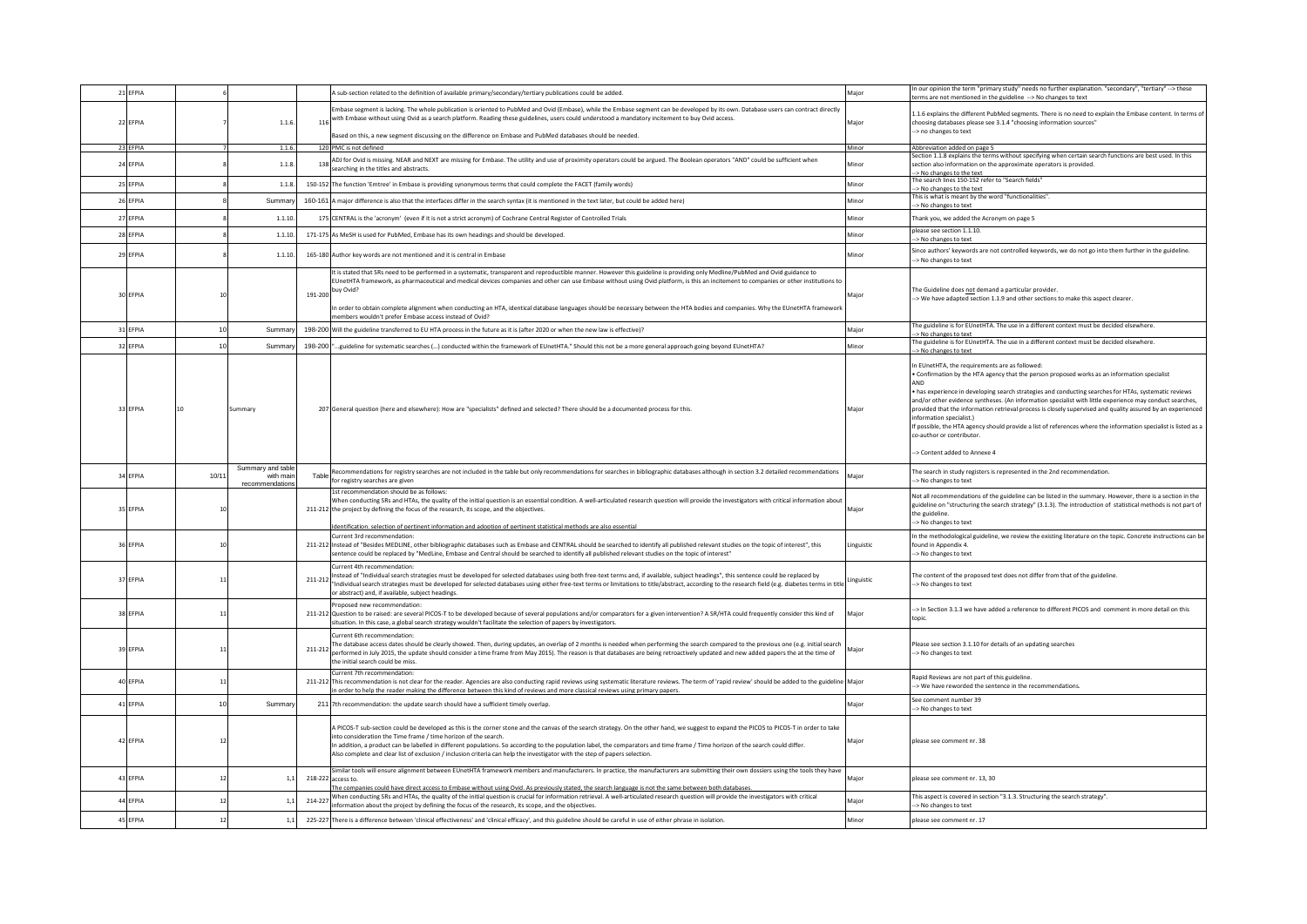| 21 EFPIA |      |                                | A sub-section related to the definition of available primary/secondary/tertiary publications could be added.                                                                                                                                                                                                                                                                                                                                                                                                                                                                    | Maior      | In our opinion the term "primary study" needs no further explanation. "secondary", "tertiary" --> these<br>terms are not mentioned in the guideline -- > No changes to text                                                                                                                                                                                                                                                                                                                                                                                                                                                                                  |
|----------|------|--------------------------------|---------------------------------------------------------------------------------------------------------------------------------------------------------------------------------------------------------------------------------------------------------------------------------------------------------------------------------------------------------------------------------------------------------------------------------------------------------------------------------------------------------------------------------------------------------------------------------|------------|--------------------------------------------------------------------------------------------------------------------------------------------------------------------------------------------------------------------------------------------------------------------------------------------------------------------------------------------------------------------------------------------------------------------------------------------------------------------------------------------------------------------------------------------------------------------------------------------------------------------------------------------------------------|
| 22 EFPIA |      | 1.1.6.                         | Embase segment is lacking. The whole publication is oriented to PubMed and Ovid (Embase), while the Embase segment can be developed by its own. Database users can contract directly<br>with Embase without using Ovid as a search platform. Reading these guidelines, users could understood a mandatory incitement to buy Ovid access.<br>116                                                                                                                                                                                                                                 | Maior      | 1.1.6 explains the different PubMed segments. There is no need to explain the Embase content. In terms of<br>choosing databases please see 3.1.4 "choosing information sources"                                                                                                                                                                                                                                                                                                                                                                                                                                                                              |
|          |      |                                | Based on this, a new segment discussing on the difference on Embase and PubMed databases should be needed.                                                                                                                                                                                                                                                                                                                                                                                                                                                                      |            | -> no changes to text                                                                                                                                                                                                                                                                                                                                                                                                                                                                                                                                                                                                                                        |
| 23 EFPIA |      | 1.1.6                          | 120 PMC is not defined                                                                                                                                                                                                                                                                                                                                                                                                                                                                                                                                                          | Minor      | Abbreviation added on page 5                                                                                                                                                                                                                                                                                                                                                                                                                                                                                                                                                                                                                                 |
| 24 EFPIA |      | 1.1.8.                         | ADJ for Ovid is missing. NEAR and NEXT are missing for Embase. The utility and use of proximity operators could be argued. The Boolean operators "AND" could be sufficient when<br>138<br>searching in the titles and abstracts.                                                                                                                                                                                                                                                                                                                                                | Minor      | Section 1.1.8 explains the terms without specifying when certain search functions are best used. In this<br>section also information on the approximate operators is provided.<br>-> No changes to the text                                                                                                                                                                                                                                                                                                                                                                                                                                                  |
| 25 EFPIA |      | 1.1.8.                         | 150-152 The function 'Emtree' in Embase is providing synonymous terms that could complete the FACET (family words)                                                                                                                                                                                                                                                                                                                                                                                                                                                              | Minor      | The search lines 150-152 refer to "Search fields'<br>-> No changes to the text                                                                                                                                                                                                                                                                                                                                                                                                                                                                                                                                                                               |
| 26 EFPIA |      | Summan                         | 160-161 A major difference is also that the interfaces differ in the search syntax (it is mentioned in the text later, but could be added here)                                                                                                                                                                                                                                                                                                                                                                                                                                 | Minor      | This is what is meant by the word "functionalities".<br>> No changes to text                                                                                                                                                                                                                                                                                                                                                                                                                                                                                                                                                                                 |
| 27 FEPIA |      | 1.1.10                         | 175 CENTRAL is the 'acronym' (even if it is not a strict acronym) of Cochrane Central Register of Controlled Trials                                                                                                                                                                                                                                                                                                                                                                                                                                                             | Minor      | Thank you, we added the Acronym on page 5                                                                                                                                                                                                                                                                                                                                                                                                                                                                                                                                                                                                                    |
| 28 EFPIA |      | 1.1.10.                        | 171-175 As MeSH is used for PubMed. Embase has its own headings and should be developed.                                                                                                                                                                                                                                                                                                                                                                                                                                                                                        | Minor      | please see section 1.1.10.<br>-> No changes to text                                                                                                                                                                                                                                                                                                                                                                                                                                                                                                                                                                                                          |
| 29 EFPIA |      | 1.1.10                         | 165-180 Author key words are not mentioned and it is central in Embase                                                                                                                                                                                                                                                                                                                                                                                                                                                                                                          | Minor      | Since authors' keywords are not controlled keywords, we do not go into them further in the guideline.<br>-> No changes to text                                                                                                                                                                                                                                                                                                                                                                                                                                                                                                                               |
|          |      |                                | It is stated that SRs need to be performed in a systematic, transparent and reproductible manner. However this guideline is providing only Medline/PubMed and Ovid guidance to<br>EUnetHTA framework, as pharmaceutical and medical devices companies and other can use Embase without using Ovid platform, is this an incitement to companies or other institutions to                                                                                                                                                                                                         |            | The Guideline does not demand a particular provider.                                                                                                                                                                                                                                                                                                                                                                                                                                                                                                                                                                                                         |
| 30 EFPIA |      |                                | 191-200 buy Ovid?                                                                                                                                                                                                                                                                                                                                                                                                                                                                                                                                                               | Major      | -> We have adapted section 1.1.9 and other sections to make this aspect clearer.                                                                                                                                                                                                                                                                                                                                                                                                                                                                                                                                                                             |
|          |      |                                | In order to obtain complete alignment when conducting an HTA, identical database languages should be necessary between the HTA bodies and companies. Why the EUnetHTA framework<br>nembers wouldn't prefer Embase access instead of Ovid?                                                                                                                                                                                                                                                                                                                                       |            |                                                                                                                                                                                                                                                                                                                                                                                                                                                                                                                                                                                                                                                              |
| 31 EFPIA | 10   | Summar                         | 198-200 Will the guideline transferred to EU HTA process in the future as it is (after 2020 or when the new law is effective)?                                                                                                                                                                                                                                                                                                                                                                                                                                                  | Major      | The guideline is for EUnetHTA. The use in a different context must be decided elsewhere.<br>> No changes to text                                                                                                                                                                                                                                                                                                                                                                                                                                                                                                                                             |
| 32 EFPIA | 10   | Summar                         | 198-200 guideline for systematic searches () conducted within the framework of EUnetHTA." Should this not be a more general approach going beyond EUnetHTA?                                                                                                                                                                                                                                                                                                                                                                                                                     | Minor      | The guideline is for EUnetHTA. The use in a different context must be decided elsewhere.<br>> No changes to text                                                                                                                                                                                                                                                                                                                                                                                                                                                                                                                                             |
| 33 EFPIA |      | Summary                        | 207 General question (here and elsewhere): How are "specialists" defined and selected? There should be a documented process for this.                                                                                                                                                                                                                                                                                                                                                                                                                                           | Major      | In EUnetHTA, the requirements are as followed:<br>· Confirmation by the HTA agency that the person proposed works as an information specialist<br>has experience in developing search strategies and conducting searches for HTAs, systematic reviews<br>and/or other evidence syntheses. (An information specialist with little experience may conduct searches.<br>provided that the information retrieval process is closely supervised and quality assured by an experienced<br>information specialist.)<br>If possible, the HTA agency should provide a list of references where the information specialist is listed as a<br>co-author or contributor. |
| 34 EFPIA | 10/1 | Summary and table<br>with mair | Recommendations for registry searches are not included in the table but only recommendations for searches in bibliographic databases although in section 3.2 detailed recommendations<br>Table                                                                                                                                                                                                                                                                                                                                                                                  | Major      | -> Content added to Annexe 4<br>The search in study registers is represented in the 2nd recommendation.                                                                                                                                                                                                                                                                                                                                                                                                                                                                                                                                                      |
| 35 EFPIA | 10   | recommendations                | for registry searches are given<br>1st recommendation should be as follows:<br>/hen conducting SRs and HTAs, the quality of the initial question is an essential condition. A well-articulated research question will provide the investigators with critical information about<br>211-212 the project by defining the focus of the research, its scope, and the objectives.                                                                                                                                                                                                    | Maior      | -> No changes to text<br>Not all recommendations of the guideline can be listed in the summary. However, there is a section in the<br>guideline on "structuring the search strategy" (3.1.3). The introduction of statistical methods is not part of<br>the guideline<br>-> No changes to text                                                                                                                                                                                                                                                                                                                                                               |
| 36 EFPIA | 10   |                                | dentification, selection of pertinent information and adoption of pertinent statistical methods are also essential<br>urrent 3rd recommendation:<br>211-212 Instead of "Besides MEDLINE, other bibliographic databases such as Embase and CENTRAL should be searched to identify all published relevant studies on the topic of interest", this<br>entence could be replaced by "MedLine, Embase and Central should be searched to identify all published relevant studies on the topic of interest"                                                                            | Linguistic | In the methodological guideline, we review the existing literature on the topic. Concrete instructions can be<br>found in Appendix 4.<br>-- No changes to text                                                                                                                                                                                                                                                                                                                                                                                                                                                                                               |
| 37 FEPIA | 11   |                                | Current 4th recommendation:<br>Instead of "Individual search strategies must be developed for selected databases using both free-text terms and, if available, subject headings", this sentence could be replaced by<br>"Individual search strategies must be developed for selected databases using either free-text terms or limitations to title/abstract, according to the research field (e.g. diabetes terms in title   linguistic<br>"Individual s<br>or abstract) and, if available, subject headings.                                                                  |            | The content of the proposed text does not differ from that of the guideline.<br>-- No changes to text                                                                                                                                                                                                                                                                                                                                                                                                                                                                                                                                                        |
| 38 EFPIA | 11   |                                | oposed new recommendation<br>211-212 Question to be raised: are several PICOS-T to be developed because of several populations and/or comparators for a given intervention? A SR/HTA could frequently consider this kind of<br>situation. In this case, a global search strategy wouldn't facilitate the selection of papers by investigators.                                                                                                                                                                                                                                  | Maior      | --> In Section 3.1.3 we have added a reference to different PICOS and comment in more detail on this<br>topic.                                                                                                                                                                                                                                                                                                                                                                                                                                                                                                                                               |
| 39 FEPIA | 11   |                                | The database access dates should be clearly showed. Then, during updates, an overlap of 2 months is needed when performing the search compared to the previous one (e.g. initial search<br>211-212<br>performed in July 2015, the update should consider a time frame from May 2015). The reason is that databases are being retroactively updated and new added papers the at the time of<br>the initial search could be miss.                                                                                                                                                 | Major      | Please see section 3.1.10 for details of an updating searches<br>-> No changes to text                                                                                                                                                                                                                                                                                                                                                                                                                                                                                                                                                                       |
| 40 FFPIA | 11   |                                | Current 7th recommendation:<br>211-212 This recommendation is not clear for the reader. Agencies are also conducting rapid reviews using systematic literature reviews. The term of 'rapid review' should be added to the guideline<br>in order to helo the reader making the difference between this kind of reviews and more classical reviews using primary papers.                                                                                                                                                                                                          | Maior      | Rapid Reviews are not part of this guideline.<br>-> We have reworded the sentence in the recommendations.                                                                                                                                                                                                                                                                                                                                                                                                                                                                                                                                                    |
| 41 EFPIA | 10   | Summary                        | 211 7th recommendation: the update search should have a sufficient timely overlap.                                                                                                                                                                                                                                                                                                                                                                                                                                                                                              | Major      | See comment number 39<br>-> No changes to text                                                                                                                                                                                                                                                                                                                                                                                                                                                                                                                                                                                                               |
| 42 EFPIA | 12   |                                | A PICOS-T sub-section could be developed as this is the corner stone and the canvas of the search strategy. On the other hand, we suggest to expand the PICOS to PICOS-T in order to take<br>into consideration the Time frame / time horizon of the search.<br>In addition, a product can be labelled in different populations. So according to the population label, the comparators and time frame / Time horizon of the search could differ.<br>Also complete and clear list of exclusion / inclusion criteria can help the investigator with the step of papers selection. | Major      | please see comment nr. 38                                                                                                                                                                                                                                                                                                                                                                                                                                                                                                                                                                                                                                    |
| 43 FEPIA | 12   | 1,1                            | Similar tools will ensure alignment between EUnetHTA framework members and manufacturers. In practice, the manufacturers are submitting their own dossiers using the tools they have<br>218-222 access to<br>The companies could have direct access to Embase without using Ovid. As previously stated, the search language is not the same between both databases.                                                                                                                                                                                                             | Major      | please see comment nr. 13, 30                                                                                                                                                                                                                                                                                                                                                                                                                                                                                                                                                                                                                                |
| 44 EFPIA | 12   | 1,1                            | When conducting SRs and HTAs, the quality of the initial question is crucial for information retrieval. A well-articulated research question will provide the investigators with critical<br>214-227<br>information about the project by defining the focus of the research, its scope, and the objectives.                                                                                                                                                                                                                                                                     | Major      | This aspect is covered in section "3.1.3. Structuring the search strategy".<br>> No changes to text                                                                                                                                                                                                                                                                                                                                                                                                                                                                                                                                                          |
| 45 EFPIA | 12   | 1,1                            | 225-227 There is a difference between 'clinical effectiveness' and 'clinical efficacy', and this guideline should be careful in use of either phrase in isolation.                                                                                                                                                                                                                                                                                                                                                                                                              | Minor      | please see comment nr. 17                                                                                                                                                                                                                                                                                                                                                                                                                                                                                                                                                                                                                                    |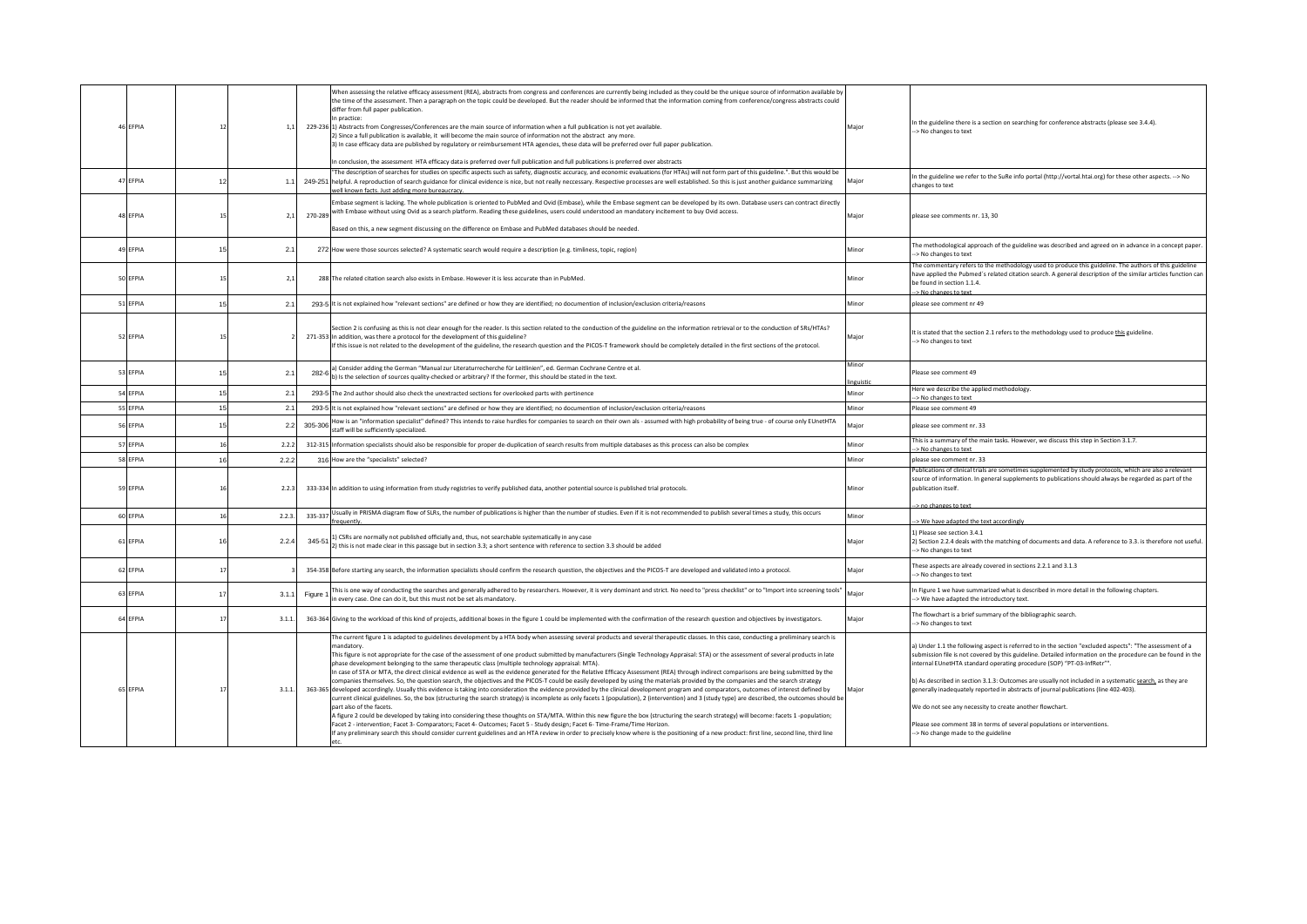| 46 EFPIA | 12 | 1,1    | When assessing the relative efficacy assessment (REA), abstracts from congress and conferences are currently being included as they could be the unique source of information available by<br>the time of the assessment. Then a paragraph on the topic could be developed. But the reader should be informed that the information coming from conference/congress abstracts could<br>differ from full paper publication.<br>In practice:<br>229-236 1) Abstracts from Congresses/Conferences are the main source of information when a full publication is not yet available.<br>2) Since a full publication is available, it will become the main source of information not the abstract any more.<br>3) In case efficacy data are published by regulatory or reimbursement HTA agencies, these data will be preferred over full paper publication.<br>In conclusion, the assessment HTA efficacy data is preferred over full publication and full publications is preferred over abstracts                                                                                                                                                                                                                                                                                                                                                                                                                                                                                                                                                                                                                                                                                                                                                                                                                                                     | In the guideline there is a section on searching for conference abstracts (please see 3.4.4).<br>Major<br>-> No changes to text                                                                                                                                                                                                                                                                                                                                                                                                                                                                                                                                                            |
|----------|----|--------|---------------------------------------------------------------------------------------------------------------------------------------------------------------------------------------------------------------------------------------------------------------------------------------------------------------------------------------------------------------------------------------------------------------------------------------------------------------------------------------------------------------------------------------------------------------------------------------------------------------------------------------------------------------------------------------------------------------------------------------------------------------------------------------------------------------------------------------------------------------------------------------------------------------------------------------------------------------------------------------------------------------------------------------------------------------------------------------------------------------------------------------------------------------------------------------------------------------------------------------------------------------------------------------------------------------------------------------------------------------------------------------------------------------------------------------------------------------------------------------------------------------------------------------------------------------------------------------------------------------------------------------------------------------------------------------------------------------------------------------------------------------------------------------------------------------------------------------------------|--------------------------------------------------------------------------------------------------------------------------------------------------------------------------------------------------------------------------------------------------------------------------------------------------------------------------------------------------------------------------------------------------------------------------------------------------------------------------------------------------------------------------------------------------------------------------------------------------------------------------------------------------------------------------------------------|
| 47 EFPIA | 12 | 1.1    | The description of searches for studies on specific aspects such as safety, diagnostic accuracy, and economic evaluations (for HTAs) will not form part of this guideline.". But this would be<br>249-251 helpful. A reproduction of search guidance for clinical evidence is nice, but not really neccessary. Respective processes are well established. So this is just another guidance summarizing<br>vell known facts. Just adding more bureaucracy.                                                                                                                                                                                                                                                                                                                                                                                                                                                                                                                                                                                                                                                                                                                                                                                                                                                                                                                                                                                                                                                                                                                                                                                                                                                                                                                                                                                         | In the guideline we refer to the SuRe info portal (http://vortal.htai.org) for these other aspects. --> No<br>Major<br>changes to text                                                                                                                                                                                                                                                                                                                                                                                                                                                                                                                                                     |
| 48 EFPIA | 15 | 2,1    | Embase segment is lacking. The whole publication is oriented to PubMed and Ovid (Embase), while the Embase segment can be developed by its own. Database users can contract directly<br>with Embase without using Ovid as a search platform. Reading these guidelines, users could understood an mandatory incitement to buy Ovid access.<br>270-289<br>Based on this, a new segment discussing on the difference on Embase and PubMed databases should be needed.                                                                                                                                                                                                                                                                                                                                                                                                                                                                                                                                                                                                                                                                                                                                                                                                                                                                                                                                                                                                                                                                                                                                                                                                                                                                                                                                                                                | Major<br>please see comments nr. 13, 30                                                                                                                                                                                                                                                                                                                                                                                                                                                                                                                                                                                                                                                    |
| 49 EFPIA | 15 | 2.1    | 272 How were those sources selected? A systematic search would require a description (e.g. timliness, topic, region)                                                                                                                                                                                                                                                                                                                                                                                                                                                                                                                                                                                                                                                                                                                                                                                                                                                                                                                                                                                                                                                                                                                                                                                                                                                                                                                                                                                                                                                                                                                                                                                                                                                                                                                              | The methodological approach of the guideline was described and agreed on in advance in a concept paper.<br>Minor<br>-> No changes to text                                                                                                                                                                                                                                                                                                                                                                                                                                                                                                                                                  |
| 50 EFPIA | 15 | 2,1    | 288 The related citation search also exists in Embase. However it is less accurate than in PubMed.                                                                                                                                                                                                                                                                                                                                                                                                                                                                                                                                                                                                                                                                                                                                                                                                                                                                                                                                                                                                                                                                                                                                                                                                                                                                                                                                                                                                                                                                                                                                                                                                                                                                                                                                                | The commentary refers to the methodology used to produce this guideline. The authors of this guideline<br>have applied the Pubmed's related citation search. A general description of the similar articles function can<br>Minor<br>be found in section 1.1.4.<br>-> No changes to text                                                                                                                                                                                                                                                                                                                                                                                                    |
| 51 EFPIA | 15 | 2.1    | 293-5 It is not explained how "relevant sections" are defined or how they are identified; no documention of inclusion/exclusion criteria/reasons                                                                                                                                                                                                                                                                                                                                                                                                                                                                                                                                                                                                                                                                                                                                                                                                                                                                                                                                                                                                                                                                                                                                                                                                                                                                                                                                                                                                                                                                                                                                                                                                                                                                                                  | Minor<br>please see comment nr 49                                                                                                                                                                                                                                                                                                                                                                                                                                                                                                                                                                                                                                                          |
| 52 EFPIA | 15 |        | Section 2 is confusing as this is not clear enough for the reader. Is this section related to the conduction of the guideline on the information retrieval or to the conduction of SRs/HTAs?<br>271-353 In addition, was there a protocol for the development of this guideline?<br>If this issue is not related to the development of the guideline, the research question and the PICOS-T framework should be completely detailed in the first sections of the protocol.                                                                                                                                                                                                                                                                                                                                                                                                                                                                                                                                                                                                                                                                                                                                                                                                                                                                                                                                                                                                                                                                                                                                                                                                                                                                                                                                                                        | It is stated that the section 2.1 refers to the methodology used to produce this guideline.<br>Major<br>-> No changes to text                                                                                                                                                                                                                                                                                                                                                                                                                                                                                                                                                              |
| 53 EFPIA | 15 | 2.1    | a) Consider adding the German "Manual zur Literaturrecherche für Leitlinien", ed. German Cochrane Centre et al.<br>282-6<br>b) Is the selection of sources quality-checked or arbitrary? If the former, this should be stated in the text.                                                                                                                                                                                                                                                                                                                                                                                                                                                                                                                                                                                                                                                                                                                                                                                                                                                                                                                                                                                                                                                                                                                                                                                                                                                                                                                                                                                                                                                                                                                                                                                                        | Minor<br>Please see comment 49<br>linguistic                                                                                                                                                                                                                                                                                                                                                                                                                                                                                                                                                                                                                                               |
| 54 EFPIA | 15 | 2.1    | 293-5 The 2nd author should also check the unextracted sections for overlooked parts with pertinence                                                                                                                                                                                                                                                                                                                                                                                                                                                                                                                                                                                                                                                                                                                                                                                                                                                                                                                                                                                                                                                                                                                                                                                                                                                                                                                                                                                                                                                                                                                                                                                                                                                                                                                                              | Here we describe the applied methodology.<br>Minor<br>> No changes to text                                                                                                                                                                                                                                                                                                                                                                                                                                                                                                                                                                                                                 |
| 55 EFPIA | 15 | 2.1    | 293-5 It is not explained how "relevant sections" are defined or how they are identified; no documention of inclusion/exclusion criteria/reasons                                                                                                                                                                                                                                                                                                                                                                                                                                                                                                                                                                                                                                                                                                                                                                                                                                                                                                                                                                                                                                                                                                                                                                                                                                                                                                                                                                                                                                                                                                                                                                                                                                                                                                  | Minor<br>Please see comment 49                                                                                                                                                                                                                                                                                                                                                                                                                                                                                                                                                                                                                                                             |
| 56 EFPIA | 15 | 2.2    | How is an "information specialist" defined? This intends to raise hurdles for companies to search on their own als - assumed with high probability of being true - of course only EUnetHTA<br>305-306<br>staff will be sufficiently specialized.                                                                                                                                                                                                                                                                                                                                                                                                                                                                                                                                                                                                                                                                                                                                                                                                                                                                                                                                                                                                                                                                                                                                                                                                                                                                                                                                                                                                                                                                                                                                                                                                  | Major<br>please see comment nr. 33                                                                                                                                                                                                                                                                                                                                                                                                                                                                                                                                                                                                                                                         |
| 57 EFPIA | 16 | 2.2.2  | 312-315 Information specialists should also be responsible for proper de-duplication of search results from multiple databases as this process can also be complex                                                                                                                                                                                                                                                                                                                                                                                                                                                                                                                                                                                                                                                                                                                                                                                                                                                                                                                                                                                                                                                                                                                                                                                                                                                                                                                                                                                                                                                                                                                                                                                                                                                                                | This is a summary of the main tasks. However, we discuss this step in Section 3.1.7.<br>Minor<br>-> No changes to text                                                                                                                                                                                                                                                                                                                                                                                                                                                                                                                                                                     |
| 58 EFPIA | 16 | 2.2.2  | 316 How are the "specialists" selected?                                                                                                                                                                                                                                                                                                                                                                                                                                                                                                                                                                                                                                                                                                                                                                                                                                                                                                                                                                                                                                                                                                                                                                                                                                                                                                                                                                                                                                                                                                                                                                                                                                                                                                                                                                                                           | Minor<br>please see comment nr. 33                                                                                                                                                                                                                                                                                                                                                                                                                                                                                                                                                                                                                                                         |
| 59 EFPIA | 16 | 2.2.3  | 333-334 In addition to using information from study registries to verify published data, another potential source is published trial protocols.                                                                                                                                                                                                                                                                                                                                                                                                                                                                                                                                                                                                                                                                                                                                                                                                                                                                                                                                                                                                                                                                                                                                                                                                                                                                                                                                                                                                                                                                                                                                                                                                                                                                                                   | Publications of clinical trials are sometimes supplemented by study protocols, which are also a relevant<br>source of information. In general supplements to publications should always be regarded as part of the<br>Minor<br>oublication itself.                                                                                                                                                                                                                                                                                                                                                                                                                                         |
| 60 EFPIA | 16 | 2.2.3. | Usually in PRISMA diagram flow of SLRs, the number of publications is higher than the number of studies. Even if it is not recommended to publish several times a study, this occurs<br>335-337<br>frequently.                                                                                                                                                                                                                                                                                                                                                                                                                                                                                                                                                                                                                                                                                                                                                                                                                                                                                                                                                                                                                                                                                                                                                                                                                                                                                                                                                                                                                                                                                                                                                                                                                                    | -> no changes to text<br>Minor<br>-> We have adapted the text accordingly                                                                                                                                                                                                                                                                                                                                                                                                                                                                                                                                                                                                                  |
| 61 FFPIA | 16 | 2.2.4  | 1) CSRs are normally not published officially and, thus, not searchable systematically in any case<br>345-51<br>2) this is not made clear in this passage but in section 3.3; a short sentence with reference to section 3.3 should be added                                                                                                                                                                                                                                                                                                                                                                                                                                                                                                                                                                                                                                                                                                                                                                                                                                                                                                                                                                                                                                                                                                                                                                                                                                                                                                                                                                                                                                                                                                                                                                                                      | 1) Please see section 3.4.1<br>2) Section 2.2.4 deals with the matching of documents and data. A reference to 3.3. is therefore not useful.<br>Major<br>> No changes to text                                                                                                                                                                                                                                                                                                                                                                                                                                                                                                               |
| 62 EFPIA |    |        | 354-358 Before starting any search, the information specialists should confirm the research question, the objectives and the PICOS-T are developed and validated into a protocol.                                                                                                                                                                                                                                                                                                                                                                                                                                                                                                                                                                                                                                                                                                                                                                                                                                                                                                                                                                                                                                                                                                                                                                                                                                                                                                                                                                                                                                                                                                                                                                                                                                                                 | These aspects are already covered in sections 2.2.1 and 3.1.3<br>Major<br>> No changes to text                                                                                                                                                                                                                                                                                                                                                                                                                                                                                                                                                                                             |
| 63 EFPIA | 17 | 3.1.1  | This is one way of conducting the searches and generally adhered to by researchers. However, it is very dominant and strict. No need to "press checklist" or to "Import into screening tools"<br>Figure :<br>in every case. One can do it, but this must not be set als mandatory.                                                                                                                                                                                                                                                                                                                                                                                                                                                                                                                                                                                                                                                                                                                                                                                                                                                                                                                                                                                                                                                                                                                                                                                                                                                                                                                                                                                                                                                                                                                                                                | In Figure 1 we have summarized what is described in more detail in the following chapters.<br>Major<br>-> We have adapted the introductory text.                                                                                                                                                                                                                                                                                                                                                                                                                                                                                                                                           |
| 64 EFPIA |    | 3.1.1  | 363-364 Giving to the workload of this kind of projects, additional boxes in the figure 1 could be implemented with the confirmation of the research question and objectives by investigators.                                                                                                                                                                                                                                                                                                                                                                                                                                                                                                                                                                                                                                                                                                                                                                                                                                                                                                                                                                                                                                                                                                                                                                                                                                                                                                                                                                                                                                                                                                                                                                                                                                                    | The flowchart is a brief summary of the bibliographic search.<br>Major<br>> No changes to text                                                                                                                                                                                                                                                                                                                                                                                                                                                                                                                                                                                             |
| 65 EFPIA | 17 | 3.1.1  | The current figure 1 is adapted to guidelines development by a HTA body when assessing several products and several therapeutic classes. In this case, conducting a preliminary search is<br>mandatory.<br>This figure is not appropriate for the case of the assessment of one product submitted by manufacturers (Single Technology Appraisal: STA) or the assessment of several products in late<br>phase development belonging to the same therapeutic class (multiple technology appraisal: MTA).<br>In case of STA or MTA, the direct clinical evidence as well as the evidence generated for the Relative Efficacy Assessment (REA) through indirect comparisons are being submitted by the<br>companies themselves. So, the question search, the objectives and the PICOS-T could be easily developed by using the materials provided by the companies and the search strategy<br>363-365 developed accordingly. Usually this evidence is taking into consideration the evidence provided by the clinical development program and comparators, outcomes of interest defined by<br>current clinical guidelines. So, the box (structuring the search strategy) is incomplete as only facets 1 (population), 2 (intervention) and 3 (study type) are described, the outcomes should be<br>part also of the facets.<br>A figure 2 could be developed by taking into considering these thoughts on STA/MTA. Within this new figure the box (structuring the search strategy) will become: facets 1 -population;<br>Facet 2 - intervention; Facet 3- Comparators; Facet 4- Outcomes; Facet 5 - Study design; Facet 6- Time-Frame/Time Horizon.<br>If any preliminary search this should consider current guidelines and an HTA review in order to precisely know where is the positioning of a new product: first line, second line, third line | a) Under 1.1 the following aspect is referred to in the section "excluded aspects": "The assessment of a<br>submission file is not covered by this guideline. Detailed information on the procedure can be found in the<br>internal EUnetHTA standard operating procedure (SOP) "PT-03-InfRetr"".<br>b) As described in section 3.1.3: Outcomes are usually not included in a systematic search, as they are<br>generally inadequately reported in abstracts of journal publications (line 402-403).<br>Maior<br>We do not see any necessity to create another flowchart.<br>Please see comment 38 in terms of several populations or interventions.<br>-> No change made to the guideline |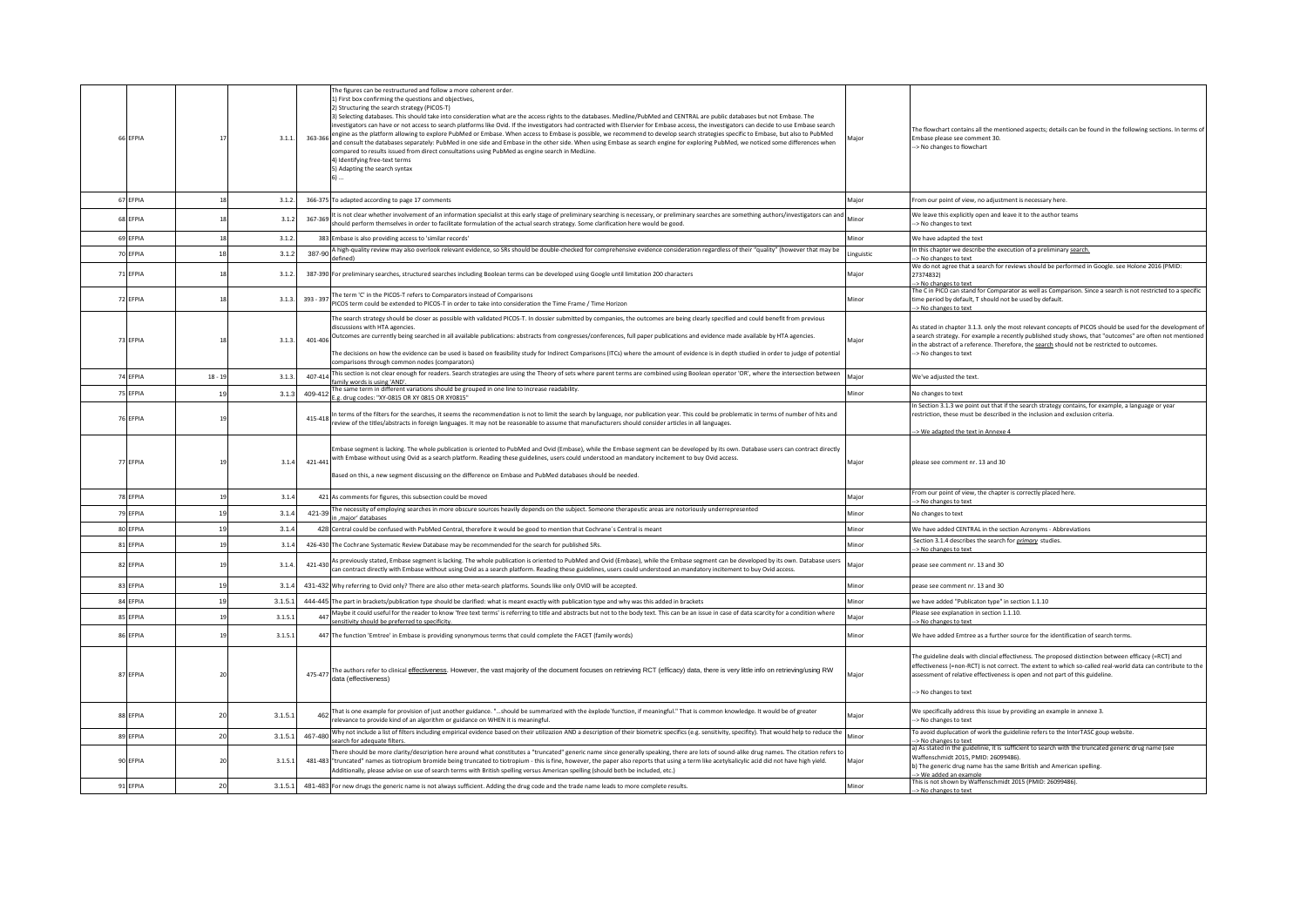| 66 EFPIA | 17             | 3.1.1   |           | The figures can be restructured and follow a more coherent order.<br>1) First box confirming the questions and objectives,<br>2) Structuring the search strategy (PICOS-T)<br>3) Selecting databases. This should take into consideration what are the access rights to the databases. Medline/PubMed and CENTRAL are public databases but not Embase. The<br>investigators can have or not access to search platforms like Ovid. If the investigators had contracted with Elservier for Embase access, the investigators can decide to use Embase search<br>engine as the platform allowing to explore PubMed or Embase. When access to Embase is possible, we recommend to develop search strategies specific to Embase, but also to PubMed (1983-363-366)<br>and consult the databases separately: PubMed in one side and Embase in the other side. When using Embase as search engine for exploring PubMed, we noticed some differences when<br>compared to results issued from direct consultations using PubMed as engine search in MedLine.<br>4) Identifying free-text terms<br>5) Adapting the search syntax<br>$6)$ | Maior      | The flowchart contains all the mentioned aspects; details can be found in the following sections. In terms of<br>Embase please see comment 30.<br>-> No changes to flowchart                                                                                                                                                                   |
|----------|----------------|---------|-----------|-------------------------------------------------------------------------------------------------------------------------------------------------------------------------------------------------------------------------------------------------------------------------------------------------------------------------------------------------------------------------------------------------------------------------------------------------------------------------------------------------------------------------------------------------------------------------------------------------------------------------------------------------------------------------------------------------------------------------------------------------------------------------------------------------------------------------------------------------------------------------------------------------------------------------------------------------------------------------------------------------------------------------------------------------------------------------------------------------------------------------------|------------|------------------------------------------------------------------------------------------------------------------------------------------------------------------------------------------------------------------------------------------------------------------------------------------------------------------------------------------------|
| 67 EFPIA | 18             | 3.1.2.  |           | 366-375 To adapted according to page 17 comments                                                                                                                                                                                                                                                                                                                                                                                                                                                                                                                                                                                                                                                                                                                                                                                                                                                                                                                                                                                                                                                                              | Major      | From our point of view, no adjustment is necessary here.                                                                                                                                                                                                                                                                                       |
| 68 EFPIA | 18             | 3.1.2   | 367-369   | It is not clear whether involvement of an information specialist at this early stage of preliminary searching is necessary, or preliminary searches are something authors/investigators can and<br>should perform themselves in order to facilitate formulation of the actual search strategy. Some clarification here would be good.                                                                                                                                                                                                                                                                                                                                                                                                                                                                                                                                                                                                                                                                                                                                                                                         | Minor      | We leave this explicitly open and leave it to the author teams<br>-> No changes to text                                                                                                                                                                                                                                                        |
| 69 EFPIA | 18             | 3.1.2   |           | 383 Embase is also providing access to 'similar records'                                                                                                                                                                                                                                                                                                                                                                                                                                                                                                                                                                                                                                                                                                                                                                                                                                                                                                                                                                                                                                                                      | Minor      | We have adapted the text                                                                                                                                                                                                                                                                                                                       |
| 70 EFPIA | 18             | 3.1.2   |           | A high-quality review may also overlook relevant evidence, so SRs should be double-checked for comprehensive evidence consideration regardless of their "quality" (however that may be<br>$387-90$ defined)                                                                                                                                                                                                                                                                                                                                                                                                                                                                                                                                                                                                                                                                                                                                                                                                                                                                                                                   | Linguistic | In this chapter we describe the execution of a preliminary search.<br>> No changes to text                                                                                                                                                                                                                                                     |
| 71 EFPIA | 18             | 3.1.2   |           | 387-390 For preliminary searches, structured searches including Boolean terms can be developed using Google until limitation 200 characters                                                                                                                                                                                                                                                                                                                                                                                                                                                                                                                                                                                                                                                                                                                                                                                                                                                                                                                                                                                   | Major      | We do not agree that a search for reviews should be performed in Google. see Holone 2016 (PMID:<br>273748321<br>> No changes to text                                                                                                                                                                                                           |
| 72 EFPIA | 18             | 3.1.3.  | 393 - 397 | The term 'C' in the PICOS-T refers to Comparators instead of Comparisons<br>PICOS term could be extended to PICOS-T in order to take into consideration the Time Frame / Time Horizon                                                                                                                                                                                                                                                                                                                                                                                                                                                                                                                                                                                                                                                                                                                                                                                                                                                                                                                                         | Minor      | The C in PICO can stand for Comparator as well as Comparison. Since a search is not restricted to a specific<br>time period by default, T should not be used by default.<br>> No changes to text                                                                                                                                               |
| 73 EFPIA | 18             | 3.1.3   |           | The search strategy should be closer as possible with validated PICOS-T. In dossier submitted by companies, the outcomes are being clearly specified and could benefit from previous<br>discussions with HTA agencies<br>401-406 Outcomes are currently being searched in all available publications: abstracts from congresses/conferences, full paper publications and evidence made available by HTA agencies.<br>The decisions on how the evidence can be used is based on feasibility study for Indirect Comparisons (ITCs) where the amount of evidence is in depth studied in order to judge of potential<br>comparisons through common nodes (comparators)                                                                                                                                                                                                                                                                                                                                                                                                                                                            | Major      | As stated in chapter 3.1.3. only the most relevant concepts of PICOS should be used for the development of<br>a search strategy. For example a recently published study shows, that "outcomes" are often not mentioned<br>in the abstract of a reference. Therefore, the search should not be restricted to outcomes.<br>-> No changes to text |
| 74 EFPIA | $18 - 19$      | 3.1.3.  | 407-414   | This section is not clear enough for readers. Search strategies are using the Theory of sets where parent terms are combined using Boolean operator 'OR', where the intersection between<br>family words is using 'AND'.                                                                                                                                                                                                                                                                                                                                                                                                                                                                                                                                                                                                                                                                                                                                                                                                                                                                                                      | Major      | We've adjusted the text.                                                                                                                                                                                                                                                                                                                       |
| 75 EFPIA | 19             | 3.1.3   |           | 409-412 The same term in different variations should be grouped in one line to increase readability.                                                                                                                                                                                                                                                                                                                                                                                                                                                                                                                                                                                                                                                                                                                                                                                                                                                                                                                                                                                                                          | Minor      | No changes to text                                                                                                                                                                                                                                                                                                                             |
| 76 EFPIA | 19             |         |           | P.e. drug codes: "XY-0815 OR XY 0815 OR XY0815"<br>415-418 In terms of the filters for the searches, it seems the recommendation is not to limit the search by language, nor publication year. This could be problematic in terms of number of hits and<br>eview of the titles/abstracts in foreign languages. It may not be reasonable to assume that manufacturers should consider articles in all languages.                                                                                                                                                                                                                                                                                                                                                                                                                                                                                                                                                                                                                                                                                                               |            | In Section 3.1.3 we point out that if the search strategy contains, for example, a language or year<br>restriction, these must be described in the inclusion and exclusion criteria.                                                                                                                                                           |
|          |                |         |           |                                                                                                                                                                                                                                                                                                                                                                                                                                                                                                                                                                                                                                                                                                                                                                                                                                                                                                                                                                                                                                                                                                                               |            | > We adapted the text in Annexe 4                                                                                                                                                                                                                                                                                                              |
| 77 EFPIA | 19             | 3.1.4   |           | mbase segment is lacking. The whole publication is oriented to PubMed and Ovid (Embase), while the Embase segment can be developed by its own. Database users can contract directly<br>act and with Embase without using Ovid as a search platform. Reading these guidelines, users could understood an mandatory incitement to buy Ovid access.<br>Based on this, a new segment discussing on the difference on Embase and PubMed databases should be needed.                                                                                                                                                                                                                                                                                                                                                                                                                                                                                                                                                                                                                                                                | Major      | please see comment nr. 13 and 30                                                                                                                                                                                                                                                                                                               |
| 78 EFPIA | 19             | 3.1.4   |           | 421 As comments for figures, this subsection could be moved                                                                                                                                                                                                                                                                                                                                                                                                                                                                                                                                                                                                                                                                                                                                                                                                                                                                                                                                                                                                                                                                   | Major      | From our point of view, the chapter is correctly placed here.                                                                                                                                                                                                                                                                                  |
| 79 FFPIA | 19             | 3.1.4   |           | 421-39 The necessity of employing searches in more obscure sources heavily depends on the subject. Someone therapeutic areas are notoriously underrepresented                                                                                                                                                                                                                                                                                                                                                                                                                                                                                                                                                                                                                                                                                                                                                                                                                                                                                                                                                                 | Minor      | > No changes to text<br>No changes to text                                                                                                                                                                                                                                                                                                     |
| 80 EFPIA | 19             | 3.1.4   |           | n .maior' databases<br>428 Central could be confused with PubMed Central, therefore it would be good to mention that Cochrane's Central is meant                                                                                                                                                                                                                                                                                                                                                                                                                                                                                                                                                                                                                                                                                                                                                                                                                                                                                                                                                                              | Minor      | We have added CENTRAL in the section Acronyms - Abbreviations                                                                                                                                                                                                                                                                                  |
| 81 EFPIA | 19             | 3.1.4   |           | 426-430 The Cochrane Systematic Review Database may be recommended for the search for published SRs.                                                                                                                                                                                                                                                                                                                                                                                                                                                                                                                                                                                                                                                                                                                                                                                                                                                                                                                                                                                                                          | Minor      | Section 3.1.4 describes the search for <i>primary</i> studies.                                                                                                                                                                                                                                                                                 |
| 82 EFPIA | 19             | 3.1.4   | 421-430   | As previously stated, Embase segment is lacking. The whole publication is oriented to PubMed and Ovid (Embase), while the Embase segment can be developed by its own. Database users<br>can contract directly with Embase without using Ovid as a search platform. Reading these guidelines, users could understood an mandatory incitement to buy Ovid access.                                                                                                                                                                                                                                                                                                                                                                                                                                                                                                                                                                                                                                                                                                                                                               | Major      | > No changes to text<br>pease see comment nr. 13 and 30                                                                                                                                                                                                                                                                                        |
| 83 EFPIA | 19             | 3.1.4   |           | 431-432 Why referring to Ovid only? There are also other meta-search platforms. Sounds like only OVID will be accepted.                                                                                                                                                                                                                                                                                                                                                                                                                                                                                                                                                                                                                                                                                                                                                                                                                                                                                                                                                                                                       | Minor      | pease see comment nr. 13 and 30                                                                                                                                                                                                                                                                                                                |
| 84 EFPIA | 19             | 3.1.5.1 |           | 444-445 The part in brackets/publication type should be clarified: what is meant exactly with publication type and why was this added in brackets                                                                                                                                                                                                                                                                                                                                                                                                                                                                                                                                                                                                                                                                                                                                                                                                                                                                                                                                                                             | Minor      | we have added "Publicaton type" in section 1.1.10                                                                                                                                                                                                                                                                                              |
| 85 EFPIA | 19             | 3.1.5.1 | 447       | Maybe it could useful for the reader to know 'free text terms' is referring to title and abstracts but not to the body text. This can be an issue in case of data scarcity for a condition where<br>sensitivity should be preferred to specificity.                                                                                                                                                                                                                                                                                                                                                                                                                                                                                                                                                                                                                                                                                                                                                                                                                                                                           | Major      | Please see explanation in section 1.1.10.<br>-> No changes to text                                                                                                                                                                                                                                                                             |
| 86 EFPIA | 1 <sup>c</sup> | 3.1.5.1 |           | 447 The function 'Emtree' in Embase is providing synonymous terms that could complete the FACET (family words)                                                                                                                                                                                                                                                                                                                                                                                                                                                                                                                                                                                                                                                                                                                                                                                                                                                                                                                                                                                                                | Minor      | We have added Emtree as a further source for the identification of search terms.                                                                                                                                                                                                                                                               |
| 87 EFPIA | 20             |         |           | 475-477 The authors refer to clinical effectiveness. However, the vast majority of the document focuses on retrieving RCT (efficacy) data, there is very little info on retrieving/using RW<br>data (effectiveness)                                                                                                                                                                                                                                                                                                                                                                                                                                                                                                                                                                                                                                                                                                                                                                                                                                                                                                           | Major      | The guideline deals with clincial effectivness. The proposed distinction between efficacy (=RCT) and<br>effectiveness (=non-RCT) is not correct. The extent to which so-called real-world data can contribute to the<br>assessment of relative effectiveness is open and not part of this guideline.<br>-> No changes to text                  |
| 88 EFPIA | 20             | 3.1.5.1 |           | That is one example for provision of just another guidance. "should be summarized with the explode function, if meaningful." That is common knowledge. It would be of greater<br>relevance to provide kind of an algorithm or guidance on WHEN it is meaningful.                                                                                                                                                                                                                                                                                                                                                                                                                                                                                                                                                                                                                                                                                                                                                                                                                                                              | Major      | We specifically address this issue by providing an example in annexe 3.<br>> No changes to text                                                                                                                                                                                                                                                |
| 89 EFPIA | 20             | 3.1.5.1 | 467-480   | Why not include a list of filters including empirical evidence based on their utilizazion AND a description of their biometric specifics (e.g. sensitivity, specificy). That would help to reduce the<br>search for adequate filters.                                                                                                                                                                                                                                                                                                                                                                                                                                                                                                                                                                                                                                                                                                                                                                                                                                                                                         | Minor      | To avoid duplucation of work the guidelinie refers to the InterTASC goup website.<br>> No changes to text                                                                                                                                                                                                                                      |
| 90 EFPIA | 20             | 3.1.5.1 |           | There should be more clarity/description here around what constitutes a "truncated" generic name since generally speaking, there are lots of sound-alike drug names. The citation refers to<br>481-483 "truncated" names as tiotropium bromide being truncated to tiotropium - this is fine, however, the paper also reports that using a term like acetylsalicylic acid did not have high yield.<br>Additionally, please advise on use of search terms with British spelling versus American spelling (should both be included, etc.)                                                                                                                                                                                                                                                                                                                                                                                                                                                                                                                                                                                        | Major      | a) As stated in the guidelinie, it is sufficient to search with the truncated generic drug name (see<br>Waffenschmidt 2015, PMID: 26099486).<br>b) The generic drug name has the same British and American spelling.                                                                                                                           |
| 91 EFPIA | 20             | 3.1.5.1 |           | 481-483 For new drugs the generic name is not always sufficient. Adding the drug code and the trade name leads to more complete results.                                                                                                                                                                                                                                                                                                                                                                                                                                                                                                                                                                                                                                                                                                                                                                                                                                                                                                                                                                                      | Minor      | -> We added an example<br>This is not shown by Waffenschmidt 2015 (PMID: 26099486).                                                                                                                                                                                                                                                            |
|          |                |         |           |                                                                                                                                                                                                                                                                                                                                                                                                                                                                                                                                                                                                                                                                                                                                                                                                                                                                                                                                                                                                                                                                                                                               |            | -> No changes to text                                                                                                                                                                                                                                                                                                                          |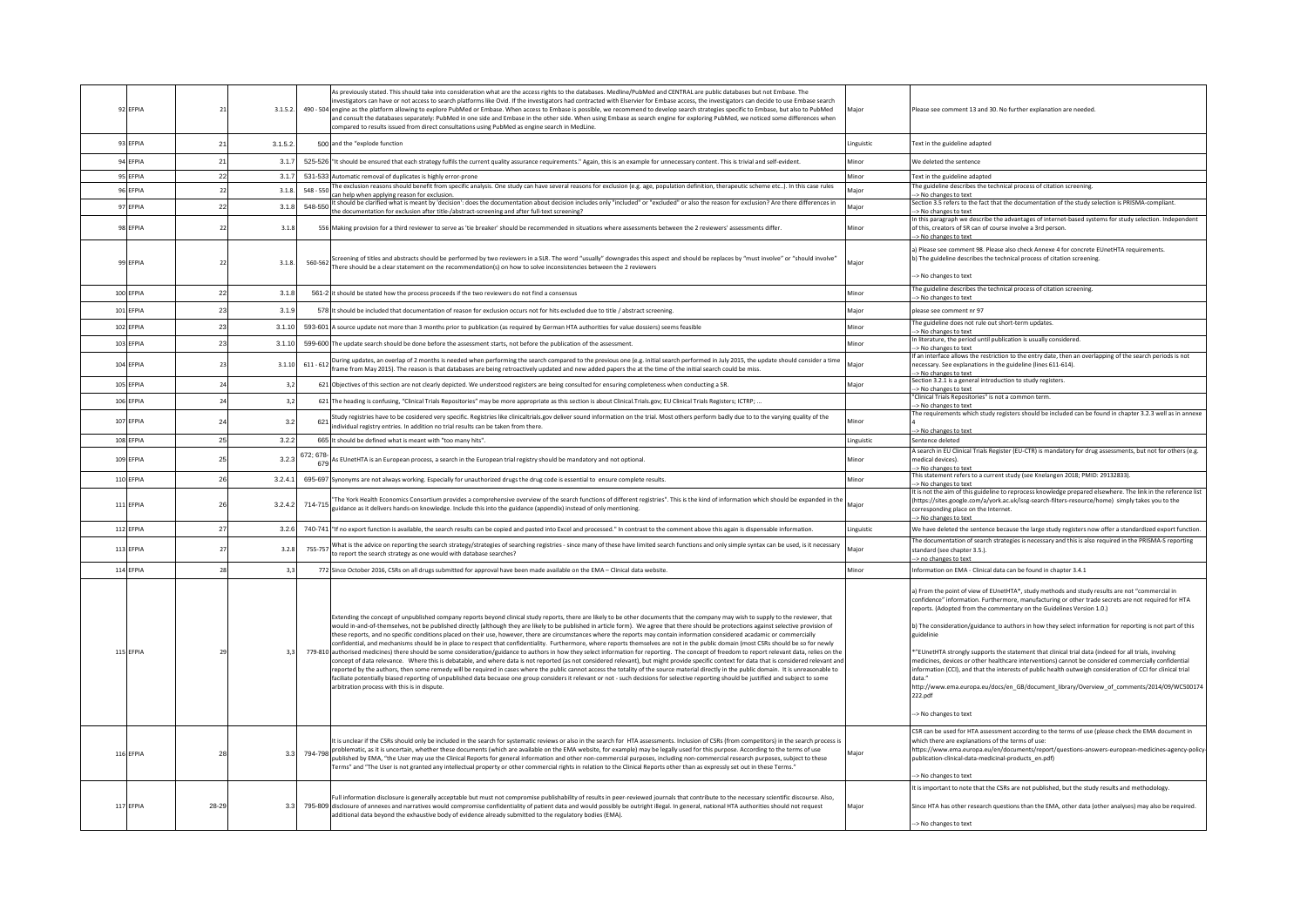| 92 EFPIA               | 21       | 3.1.5.2.         | As previously stated. This should take into consideration what are the access rights to the databases. Medline/PubMed and CENTRAL are public databases but not Embase. The<br>ivestigators can have or not access to search platforms like Ovid. If the investigators had contracted with Elservier for Embase access, the investigators can decide to use Embase search<br>490 - 504 engine as the platform allowing to explore PubMed or Embase. When access to Embase is possible, we recommend to develop search strategies specific to Embase, but also to PubMed<br>and consult the databases separately: PubMed in one side and Embase in the other side. When using Embase as search engine for exploring PubMed, we noticed some differences when<br>compared to results issued from direct consultations using PubMed as engine search in MedLine.                                                                                                                                                                                                                                                                                                                                                                                                                                                                                                                                                                                                                                                                                                                                                  | Major          | Please see comment 13 and 30. No further explanation are needed.                                                                                                                                                                                                                                                                                                                                                                                                                                                                                                                                                                                                                                                                                                                                                                                                                    |
|------------------------|----------|------------------|---------------------------------------------------------------------------------------------------------------------------------------------------------------------------------------------------------------------------------------------------------------------------------------------------------------------------------------------------------------------------------------------------------------------------------------------------------------------------------------------------------------------------------------------------------------------------------------------------------------------------------------------------------------------------------------------------------------------------------------------------------------------------------------------------------------------------------------------------------------------------------------------------------------------------------------------------------------------------------------------------------------------------------------------------------------------------------------------------------------------------------------------------------------------------------------------------------------------------------------------------------------------------------------------------------------------------------------------------------------------------------------------------------------------------------------------------------------------------------------------------------------------------------------------------------------------------------------------------------------|----------------|-------------------------------------------------------------------------------------------------------------------------------------------------------------------------------------------------------------------------------------------------------------------------------------------------------------------------------------------------------------------------------------------------------------------------------------------------------------------------------------------------------------------------------------------------------------------------------------------------------------------------------------------------------------------------------------------------------------------------------------------------------------------------------------------------------------------------------------------------------------------------------------|
| 93 EFPIA               | 21       | 3.1.5.2.         | 500 and the "explode function                                                                                                                                                                                                                                                                                                                                                                                                                                                                                                                                                                                                                                                                                                                                                                                                                                                                                                                                                                                                                                                                                                                                                                                                                                                                                                                                                                                                                                                                                                                                                                                 | Linguistic     | Text in the guideline adapted                                                                                                                                                                                                                                                                                                                                                                                                                                                                                                                                                                                                                                                                                                                                                                                                                                                       |
| 94 EFPIA               | 21       | 3.1.7            | 525-526 "It should be ensured that each strategy fulfils the current quality assurance requirements." Again, this is an example for unnecessary content. This is trivial and self-evident.                                                                                                                                                                                                                                                                                                                                                                                                                                                                                                                                                                                                                                                                                                                                                                                                                                                                                                                                                                                                                                                                                                                                                                                                                                                                                                                                                                                                                    | Minor          | We deleted the sentence                                                                                                                                                                                                                                                                                                                                                                                                                                                                                                                                                                                                                                                                                                                                                                                                                                                             |
| 95 EFPIA               | 22       | 3.1.7            | 531-533 Automatic removal of duplicates is highly error-prone                                                                                                                                                                                                                                                                                                                                                                                                                                                                                                                                                                                                                                                                                                                                                                                                                                                                                                                                                                                                                                                                                                                                                                                                                                                                                                                                                                                                                                                                                                                                                 | Minor          | Text in the guideline adapted                                                                                                                                                                                                                                                                                                                                                                                                                                                                                                                                                                                                                                                                                                                                                                                                                                                       |
| 96 EFPIA               | 22       | 3.1.8            | The exclusion reasons should benefit from specific analysis. One study can have several reasons for exclusion (e.g. age, population definition, therapeutic scheme etc). In this case rules<br>548 - 550<br>can help when applying reason for exclusion.                                                                                                                                                                                                                                                                                                                                                                                                                                                                                                                                                                                                                                                                                                                                                                                                                                                                                                                                                                                                                                                                                                                                                                                                                                                                                                                                                      | Major          | The guideline describes the technical process of citation screening.<br>-> No changes to text                                                                                                                                                                                                                                                                                                                                                                                                                                                                                                                                                                                                                                                                                                                                                                                       |
| 97 EFPIA               | 22       | 3.1.8            | It should be clarified what is meant by 'decision': does the documentation about decision includes only "included" or "excluded" or also the reason for exclusion? Are there differences in<br>548-550                                                                                                                                                                                                                                                                                                                                                                                                                                                                                                                                                                                                                                                                                                                                                                                                                                                                                                                                                                                                                                                                                                                                                                                                                                                                                                                                                                                                        | Major          | Section 3.5 refers to the fact that the documentation of the study selection is PRISMA-compliant.                                                                                                                                                                                                                                                                                                                                                                                                                                                                                                                                                                                                                                                                                                                                                                                   |
| 98 FFPIA               | 22       | 3.1.8            | the documentation for exclusion after title-/abstract-screening and after full-text screening?<br>556 Making provision for a third reviewer to serve as 'tie breaker' should be recommended in situations where assessments between the 2 reviewers' assessments differ.                                                                                                                                                                                                                                                                                                                                                                                                                                                                                                                                                                                                                                                                                                                                                                                                                                                                                                                                                                                                                                                                                                                                                                                                                                                                                                                                      | Minor          | -> No changes to text<br>In this paragraph we describe the advantages of internet-based systems for study selection. Independent<br>of this, creators of SR can of course involve a 3rd person.                                                                                                                                                                                                                                                                                                                                                                                                                                                                                                                                                                                                                                                                                     |
| 99 FFPIA               | 22       | 3.1.8.           | S60-562   Screening of titles and abstracts should be performed by two reviewers in a SLR. The word "usually" downgrades this aspect and should be replaces by "must involve" or "should involve" or "should involve"<br>There should be a clear statement on the recommendation(s) on how to solve inconsistencies between the 2 reviewers                                                                                                                                                                                                                                                                                                                                                                                                                                                                                                                                                                                                                                                                                                                                                                                                                                                                                                                                                                                                                                                                                                                                                                                                                                                                   | Major          | -> No changes to text<br>a) Please see comment 98. Please also check Annexe 4 for concrete EUnetHTA requirements.<br>b) The guideline describes the technical process of citation screening.<br>-> No changes to text                                                                                                                                                                                                                                                                                                                                                                                                                                                                                                                                                                                                                                                               |
| 100 EFPIA              | 22       | 3.1.8            | 561-2 it should be stated how the process proceeds if the two reviewers do not find a consensus                                                                                                                                                                                                                                                                                                                                                                                                                                                                                                                                                                                                                                                                                                                                                                                                                                                                                                                                                                                                                                                                                                                                                                                                                                                                                                                                                                                                                                                                                                               | Minor          | The guideline describes the technical process of citation screening.<br>-> No changes to text                                                                                                                                                                                                                                                                                                                                                                                                                                                                                                                                                                                                                                                                                                                                                                                       |
| 101 EFPIA              | 23       | 3.1.9            | 578 It should be included that documentation of reason for exclusion occurs not for hits excluded due to title / abstract screening.                                                                                                                                                                                                                                                                                                                                                                                                                                                                                                                                                                                                                                                                                                                                                                                                                                                                                                                                                                                                                                                                                                                                                                                                                                                                                                                                                                                                                                                                          | Major          | please see comment nr 97                                                                                                                                                                                                                                                                                                                                                                                                                                                                                                                                                                                                                                                                                                                                                                                                                                                            |
| 102 EFPIA              | 23       | 3.1.10           | 593-601 A source update not more than 3 months prior to publication (as required by German HTA authorities for value dossiers) seems feasible                                                                                                                                                                                                                                                                                                                                                                                                                                                                                                                                                                                                                                                                                                                                                                                                                                                                                                                                                                                                                                                                                                                                                                                                                                                                                                                                                                                                                                                                 | Minor          | The guideline does not rule out short-term updates.<br>-> No changes to text                                                                                                                                                                                                                                                                                                                                                                                                                                                                                                                                                                                                                                                                                                                                                                                                        |
| 103 EFPIA              | 23       | 3.1.10           | 599-600 The update search should be done before the assessment starts, not before the publication of the assessment.                                                                                                                                                                                                                                                                                                                                                                                                                                                                                                                                                                                                                                                                                                                                                                                                                                                                                                                                                                                                                                                                                                                                                                                                                                                                                                                                                                                                                                                                                          | Minor          | In literature, the period until publication is usually considered.<br>-> No changes to text                                                                                                                                                                                                                                                                                                                                                                                                                                                                                                                                                                                                                                                                                                                                                                                         |
| 104 EFPIA              | 23       | 3.1.10           | During updates, an overlap of 2 months is needed when performing the search compared to the previous one (e.g. initial search performed in July 2015, the update should consider a time<br>$611 - 612$<br>frame from May 2015). The reason is that databases are being retroactively updated and new added papers the at the time of the initial search could be miss.                                                                                                                                                                                                                                                                                                                                                                                                                                                                                                                                                                                                                                                                                                                                                                                                                                                                                                                                                                                                                                                                                                                                                                                                                                        | Major          | If an interface allows the restriction to the entry date, then an overlapping of the search periods is not<br>necessary. See explanations in the guideline (lines 611-614).<br>-> No changes to text                                                                                                                                                                                                                                                                                                                                                                                                                                                                                                                                                                                                                                                                                |
| 105 EFPIA              | 24       | 3,2              | 621 Objectives of this section are not clearly depicted. We understood registers are being consulted for ensuring completeness when conducting a SR.                                                                                                                                                                                                                                                                                                                                                                                                                                                                                                                                                                                                                                                                                                                                                                                                                                                                                                                                                                                                                                                                                                                                                                                                                                                                                                                                                                                                                                                          | Major          | Section 3.2.1 is a general introduction to study registers.<br>-> No changes to text                                                                                                                                                                                                                                                                                                                                                                                                                                                                                                                                                                                                                                                                                                                                                                                                |
| 106 EFPIA              | 24       | 3,2              | 621 The heading is confusing, "Clinical Trials Repositories" may be more appropriate as this section is about Clinical.Trials.gov; EU Clinical Trials Registers; ICTRP;                                                                                                                                                                                                                                                                                                                                                                                                                                                                                                                                                                                                                                                                                                                                                                                                                                                                                                                                                                                                                                                                                                                                                                                                                                                                                                                                                                                                                                       |                | "Clinical Trials Repositories" is not a common term.                                                                                                                                                                                                                                                                                                                                                                                                                                                                                                                                                                                                                                                                                                                                                                                                                                |
| 107 EFPIA              | 24       | 3.2              | Study registries have to be cosidered very specific. Registries like clinicaltrials.gov deliver sound information on the trial. Most others perform badly due to to the varying quality of the<br>621<br>individual registry entries. In addition no trial results can be taken from there.                                                                                                                                                                                                                                                                                                                                                                                                                                                                                                                                                                                                                                                                                                                                                                                                                                                                                                                                                                                                                                                                                                                                                                                                                                                                                                                   | Minor          | -> No changes to text<br>The requirements which study registers should be included can be found in chapter 3.2.3 well as in annexe                                                                                                                                                                                                                                                                                                                                                                                                                                                                                                                                                                                                                                                                                                                                                  |
| 108 FFPIA              | 25       | 3.2.2            | 665 It should be defined what is meant with "too many hits"                                                                                                                                                                                                                                                                                                                                                                                                                                                                                                                                                                                                                                                                                                                                                                                                                                                                                                                                                                                                                                                                                                                                                                                                                                                                                                                                                                                                                                                                                                                                                   | Linguistic     | > No changes to text<br>Sentence deletec                                                                                                                                                                                                                                                                                                                                                                                                                                                                                                                                                                                                                                                                                                                                                                                                                                            |
|                        |          |                  | 672: 678-                                                                                                                                                                                                                                                                                                                                                                                                                                                                                                                                                                                                                                                                                                                                                                                                                                                                                                                                                                                                                                                                                                                                                                                                                                                                                                                                                                                                                                                                                                                                                                                                     |                | A search in EU Clinical Trials Register (EU-CTR) is mandatory for drug assessments, but not for others (e.g.                                                                                                                                                                                                                                                                                                                                                                                                                                                                                                                                                                                                                                                                                                                                                                        |
| 109 EFPIA<br>110 FEPIA | 25<br>26 | 3.2.3<br>3.2.4.1 | As EUnetHTA is an European process, a search in the European trial registry should be mandatory and not optional.<br>695-697 Synonyms are not always working. Especially for unauthorized drugs the drug code is essential to ensure complete results.                                                                                                                                                                                                                                                                                                                                                                                                                                                                                                                                                                                                                                                                                                                                                                                                                                                                                                                                                                                                                                                                                                                                                                                                                                                                                                                                                        | Minor<br>Minor | medical devices).<br>> No changes to text<br>This statement refers to a current study (see Knelangen 2018; PMID: 29132833).                                                                                                                                                                                                                                                                                                                                                                                                                                                                                                                                                                                                                                                                                                                                                         |
|                        |          |                  |                                                                                                                                                                                                                                                                                                                                                                                                                                                                                                                                                                                                                                                                                                                                                                                                                                                                                                                                                                                                                                                                                                                                                                                                                                                                                                                                                                                                                                                                                                                                                                                                               |                | -> No changes to text<br>It is not the aim of this guideline to reprocess knowledge prepared elsewhere. The link in the reference list                                                                                                                                                                                                                                                                                                                                                                                                                                                                                                                                                                                                                                                                                                                                              |
| 111 EFPIA              | 26       | 3.2.4.2          | "The York Health Economics Consortium provides a comprehensive overview of the search functions of different registries". This is the kind of information which should be expanded in the<br>714-715<br>guidance as it delivers hands-on knowledge. Include this into the guidance (appendix) instead of only mentioning.                                                                                                                                                                                                                                                                                                                                                                                                                                                                                                                                                                                                                                                                                                                                                                                                                                                                                                                                                                                                                                                                                                                                                                                                                                                                                     | Maior          | (https://sites.google.com/a/york.ac.uk/issg-search-filters-resource/home) simply takes you to the<br>corresponding place on the Internet.<br>-> No changes to text                                                                                                                                                                                                                                                                                                                                                                                                                                                                                                                                                                                                                                                                                                                  |
| 112 EFPIA              | 27       | 3.2.6            | 740-741 "If no export function is available, the search results can be copied and pasted into Excel and processed." In contrast to the comment above this again is dispensable information.                                                                                                                                                                                                                                                                                                                                                                                                                                                                                                                                                                                                                                                                                                                                                                                                                                                                                                                                                                                                                                                                                                                                                                                                                                                                                                                                                                                                                   | Linguistic     | We have deleted the sentence because the large study registers now offer a standardized export function.                                                                                                                                                                                                                                                                                                                                                                                                                                                                                                                                                                                                                                                                                                                                                                            |
| 113 EFPIA              | 27       | 3.2.8            | What is the advice on reporting the search strategy/strategies of searching registries - since many of these have limited search functions and only simple syntax can be used, is it necessary<br>755-757<br>to report the search strategy as one would with database searches?                                                                                                                                                                                                                                                                                                                                                                                                                                                                                                                                                                                                                                                                                                                                                                                                                                                                                                                                                                                                                                                                                                                                                                                                                                                                                                                               | Major          | The documentation of search strategies is necessary and this is also required in the PRISMA-S reporting<br>standard (see chapter 3.5.).<br>> no changes to text                                                                                                                                                                                                                                                                                                                                                                                                                                                                                                                                                                                                                                                                                                                     |
| 114 EFPIA              | 28       | 3,3              | 772 Since October 2016, CSRs on all drugs submitted for approval have been made available on the EMA - Clinical data website                                                                                                                                                                                                                                                                                                                                                                                                                                                                                                                                                                                                                                                                                                                                                                                                                                                                                                                                                                                                                                                                                                                                                                                                                                                                                                                                                                                                                                                                                  | Minor          | Information on EMA - Clinical data can be found in chapter 3.4.1                                                                                                                                                                                                                                                                                                                                                                                                                                                                                                                                                                                                                                                                                                                                                                                                                    |
| 115 EFPIA              | 29       | 3.3              | Extending the concept of unpublished company reports beyond clinical study reports, there are likely to be other documents that the company may wish to supply to the reviewer, that<br>would in-and-of-themselves, not be published directly (although they are likely to be published in article form). We agree that there should be protections against selective provision of<br>these reports, and no specific conditions placed on their use, however, there are circumstances where the reports may contain information considered acadamic or commercially<br>confidential, and mechanisms should be in place to respect that confidentiality. Furthermore, where reports themselves are not in the public domain (most CSRs should be so for newly<br>779-810 authorised medicines) there should be some consideration/guidance to authors in how they select information for reporting. The concept of freedom to report relevant data, relies on the<br>concept of data relevance. Where this is debatable, and where data is not reported (as not considered relevant), but might provide specific context for data that is considered relevant and<br>reported by the authors, then some remedy will be required in cases where the public cannot access the totality of the source material directly in the public domain. It is unreasonable to<br>faciliate potentially biased reporting of unpublished data becuase one group considers it relevant or not - such decisions for selective reporting should be justified and subject to some<br>arbitration process with this is in dispute. |                | a) From the point of view of EUnetHTA*, study methods and study results are not "commercial in<br>confidence" information. Furthermore, manufacturing or other trade secrets are not required for HTA<br>reports. (Adopted from the commentary on the Guidelines Version 1.0.)<br>b) The consideration/guidance to authors in how they select information for reporting is not part of this<br>euidelinie<br>"EUnetHTA strongly supports the statement that clinical trial data (indeed for all trials, involving<br>medicines, devices or other healthcare interventions) cannot be considered commercially confidential<br>information (CCI), and that the interests of public health outweigh consideration of CCI for clinical trial<br>data.<br>http://www.ema.europa.eu/docs/en_GB/document_library/Overview_of_comments/2014/09/WC500174<br>222.pdf<br>-> No changes to text |
| 116 EFPIA              | 28       | 3.3              | It is unclear if the CSRs should only be included in the search for systematic reviews or also in the search for HTA assessments. Inclusion of CSRs (from competitors) in the search process is<br>794-798 and the state in the search in whether these documents (which are available on the EMA website, for example) may be legally used for this purpose. According to the terms of use<br>published by EMA, "the User may use the Clinical Reports for general information and other non-commercial purposes, including non-commercial research purposes, subject to these<br>Terms" and "The User is not granted any intellectual property or other commercial rights in relation to the Clinical Reports other than as expressly set out in these Terms."                                                                                                                                                                                                                                                                                                                                                                                                                                                                                                                                                                                                                                                                                                                                                                                                                                              | Major          | CSR can be used for HTA assessment according to the terms of use (please check the EMA document in<br>which there are explanations of the terms of use:<br>https://www.ema.europa.eu/en/documents/report/questions-answers-european-medicines-agency-policy<br>publication-clinical-data-medicinal-products_en.pdf)<br>-> No changes to text                                                                                                                                                                                                                                                                                                                                                                                                                                                                                                                                        |
| 117 EFPIA              | 28-29    | 3.3 <sub>1</sub> | Full information disclosure is generally acceptable but must not compromise publishability of results in peer-reviewed journals that contribute to the necessary scientific discourse. Also,<br>795-809 disclosure of annexes and narratives would compromise confidentiality of patient data and would possibly be outright illegal. In general, national HTA authorities should not request<br>additional data beyond the exhaustive body of evidence already submitted to the regulatory bodies (EMA).                                                                                                                                                                                                                                                                                                                                                                                                                                                                                                                                                                                                                                                                                                                                                                                                                                                                                                                                                                                                                                                                                                     | Major          | It is important to note that the CSRs are not published, but the study results and methodology.<br>Since HTA has other research questions than the EMA, other data (other analyses) may also be required.<br>-> No changes to text                                                                                                                                                                                                                                                                                                                                                                                                                                                                                                                                                                                                                                                  |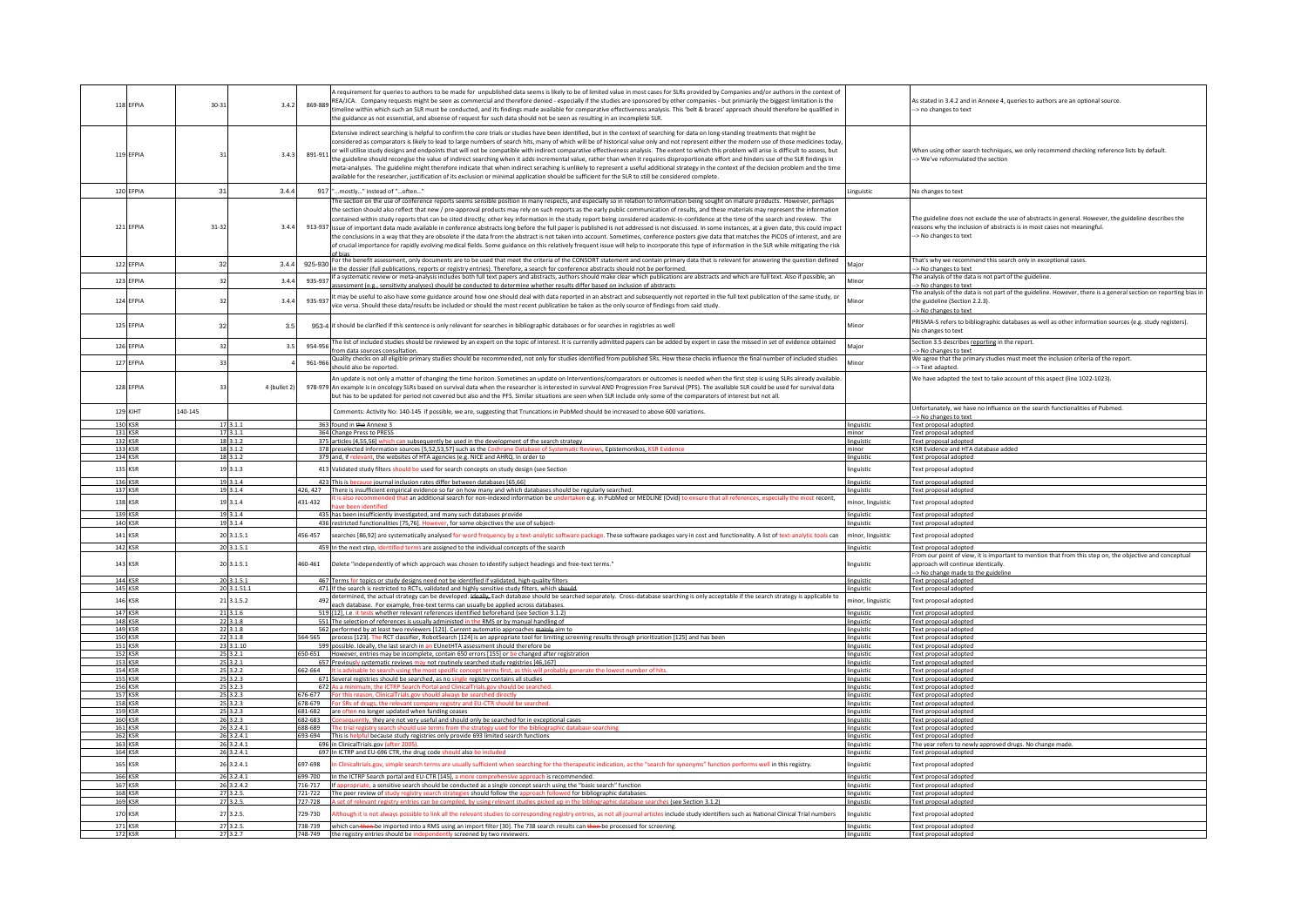| 118 EFPIA                        | $30 - 31$                | 3.4.2        |         | requirement for queries to authors to be made for unpublished data seems is likely to be of limited value in most cases for SLRs provided by Companies and/or authors in the context of<br>REA/ICA. Company requests might be seen as commercial and therefore denied - especially if the studies are sponsored by other companies - but primiarily the biggest limitation is the<br>imeline within which such an SLR must be conducted, and its findings made available for comparative effectiveness analysis. This 'belt & braces' approach should therefore be qualified in<br>the guidance as not essenstial, and absense of request for such data should not be seen as resulting in an incomplete SLR.                                                                                                                                                                                                                                                                                                                                                                                                                                                                  |                          | As stated in 3.4.2 and in Annexe 4, queries to authors are an optional source<br>-> no changes to text                                                                                                   |
|----------------------------------|--------------------------|--------------|---------|--------------------------------------------------------------------------------------------------------------------------------------------------------------------------------------------------------------------------------------------------------------------------------------------------------------------------------------------------------------------------------------------------------------------------------------------------------------------------------------------------------------------------------------------------------------------------------------------------------------------------------------------------------------------------------------------------------------------------------------------------------------------------------------------------------------------------------------------------------------------------------------------------------------------------------------------------------------------------------------------------------------------------------------------------------------------------------------------------------------------------------------------------------------------------------|--------------------------|----------------------------------------------------------------------------------------------------------------------------------------------------------------------------------------------------------|
| 119 EFPIA                        | 31                       | 3.4.3        |         | Extensive indirect searching is helpful to confirm the core trials or studies have been identified, but in the context of searching for data on long-standing treatments that might be<br>considered as comparators is likely to lead to large numbers of search hits, many of which will be of historical value only and not represent either the modern use of those medicines today<br>or will utilise study designs and endpoints that will not be compatible with indirect comparative effectiveness analysis. The extent to which this problem will arise is difficult to assess, but are also difficult to assess<br>the guideline should recongise the value of indirect searching when it adds incremental value, rather than when it requires disproportionate effort and hinders use of the SLR findings in<br>neta-analyses. The guideline might therefore indicate that when indirect seraching is unlikely to represent a useful additional strategy in the context of the decision problem and the time<br>available for the researcher, justification of its exclusion or minimal application should be sufficient for the SLR to still be considered complete |                          | When using other search techniques, we only recommend checking reference lists by default.<br>-> We've reformulated the section                                                                          |
| 120 EFPIA                        | 31                       | 3.4.4        |         | 917 "mostly" instead of "often                                                                                                                                                                                                                                                                                                                                                                                                                                                                                                                                                                                                                                                                                                                                                                                                                                                                                                                                                                                                                                                                                                                                                 | Linguistic               | No changes to text                                                                                                                                                                                       |
|                                  |                          |              |         | he section on the use of conference reports seems sensible position in many respects, and especially so in relation to information being sought on mature products. However, perhaps                                                                                                                                                                                                                                                                                                                                                                                                                                                                                                                                                                                                                                                                                                                                                                                                                                                                                                                                                                                           |                          |                                                                                                                                                                                                          |
| 121 FFPIA                        | 31-32                    | 3.4.4        |         | the section should also reflect that new / pre-approval products may rely on such reports as the early public communication of results, and these materials may represent the information<br>contained within study reports that can be cited directly; other key information in the study report being considered academic-in-confidence at the time of the search and review. The<br>913-937 issue of important data made available in conference abstracts long before the full paper is published is not addressed is not discussed. In some instances, at a given date, this could impact<br>the conclusions in a way that they are obsolete if the data from the abstract is not taken into account. Sometimes, conference posters give data that matches the PICOS of interest, and are<br>of crucial importance for rapidly evolving medical fields. Some guidance on this relatively frequent issue will help to incorporate this type of information in the SLR while mitigating the risk                                                                                                                                                                            |                          | The guideline does not exclude the use of abstracts in general. However, the guideline describes the<br>reasons why the inclusion of abstracts is in most cases not meaningful.<br>-> No changes to text |
| 122 EFPIA                        | 32                       | 3.4.4        | 925-930 | For the benefit assessment, only documents are to be used that meet the criteria of the CONSORT statement and contain primary data that is relevant for answering the question defined                                                                                                                                                                                                                                                                                                                                                                                                                                                                                                                                                                                                                                                                                                                                                                                                                                                                                                                                                                                         | Major                    | That's why we recommend this search only in exceptional cases.                                                                                                                                           |
|                                  |                          |              |         | n the dossier (full publications, reports or registry entries). Therefore, a search for conference abstracts should not be performed.<br>If a systematic review or meta-analysis includes both full text papers and abstracts, authors should make clear which publications are abstracts and which are full text. Also if possible, an                                                                                                                                                                                                                                                                                                                                                                                                                                                                                                                                                                                                                                                                                                                                                                                                                                        |                          | > No changes to text<br>The analysis of the data is not part of the guideline.                                                                                                                           |
| 123 EFPIA                        | 32                       | 3.4.4        | 935-937 | assessment (e.g., sensitivity analyses) should be conducted to determine whether results differ based on inclusion of abstracts                                                                                                                                                                                                                                                                                                                                                                                                                                                                                                                                                                                                                                                                                                                                                                                                                                                                                                                                                                                                                                                | Minor                    | -> No changes to text                                                                                                                                                                                    |
| 124 EFPIA                        | $\mathbf{R}^*$           | 3.4.4        | 935-937 | It may be useful to also have some guidance around how one should deal with data reported in an abstract and subsequently not reported in the full text publication of the same study, or<br>vice versa. Should these data/results be included or should the most recent publication be taken as the only source of findings from said study.                                                                                                                                                                                                                                                                                                                                                                                                                                                                                                                                                                                                                                                                                                                                                                                                                                  | Minor                    | The analysis of the data is not part of the guideline. However, there is a general section on reporting bias in<br>the guideline (Section 2.2.3).<br>-> No changes to text                               |
| 125 EFPIA                        | 32                       | 3.5          |         | 953-4 it should be clarified if this sentence is only relevant for searches in bibliographic databases or for searches in registries as well                                                                                                                                                                                                                                                                                                                                                                                                                                                                                                                                                                                                                                                                                                                                                                                                                                                                                                                                                                                                                                   | Minor                    | PRISMA-S refers to bibliographic databases as well as other information sources (e.g. study registers).<br>No changes to text                                                                            |
| 126 EFPIA                        | 32                       | 3.5          | 954-956 | The list of included studies should be reviewed by an expert on the topic of interest. It is currently admitted papers can be added by expert in case the missed in set of evidence obtained<br>from data sources consultation                                                                                                                                                                                                                                                                                                                                                                                                                                                                                                                                                                                                                                                                                                                                                                                                                                                                                                                                                 | Maior                    | Section 3.5 describes reporting in the report.<br>-> No changes to text                                                                                                                                  |
| 127 EFPIA                        | 33                       |              | 961-966 | Quality checks on all eligible primary studies should be recommended, not only for studies identified from published SRs. How these checks influence the final number of included studies                                                                                                                                                                                                                                                                                                                                                                                                                                                                                                                                                                                                                                                                                                                                                                                                                                                                                                                                                                                      | Minor                    | We agree that the primary studies must meet the inclusion criteria of the report.                                                                                                                        |
|                                  |                          |              |         | should also be reported.                                                                                                                                                                                                                                                                                                                                                                                                                                                                                                                                                                                                                                                                                                                                                                                                                                                                                                                                                                                                                                                                                                                                                       |                          | -> Text adapted                                                                                                                                                                                          |
| 128 EFPIA                        | 33                       | 4 (bullet 2) |         | An update is not only a matter of changing the time horizon. Sometimes an update on Interventions/comparators or outcomes is needed when the first step is using SLRs already available.<br>978-979 An example is in oncology SLRs based on survival data when the researcher is interested in survival AND Progression Free Survival (PFS). The available SLR could be used for survival data<br>but has to be updated for period not covered but also and the PFS. Similar situations are seen when SLR include only some of the comparators of interest but not all.                                                                                                                                                                                                                                                                                                                                                                                                                                                                                                                                                                                                        |                          | We have adapted the text to take account of this aspect (line 1022-1023).                                                                                                                                |
| <b>129 KIHT</b>                  | 140-145                  |              |         | Comments: Activity No: 140-145 if possible, we are, suggesting that Truncations in PubMed should be increased to above 600 variations.                                                                                                                                                                                                                                                                                                                                                                                                                                                                                                                                                                                                                                                                                                                                                                                                                                                                                                                                                                                                                                         |                          | Unfortunately, we have no influence on the search functionalities of Pubmed.                                                                                                                             |
| 130 KSR                          | 17 3.1.1                 |              |         | 363 found in the Annexe 3                                                                                                                                                                                                                                                                                                                                                                                                                                                                                                                                                                                                                                                                                                                                                                                                                                                                                                                                                                                                                                                                                                                                                      | linguistic               | -> No changes to text<br>Text proposal adopted                                                                                                                                                           |
| 131 KSR                          | 17 3.1.1                 |              |         | 364 Change Press to PRESS                                                                                                                                                                                                                                                                                                                                                                                                                                                                                                                                                                                                                                                                                                                                                                                                                                                                                                                                                                                                                                                                                                                                                      | minor                    | Text proposal adopted                                                                                                                                                                                    |
| 132 KSR                          | 18 3.1.2                 |              |         | 375 articles [4,55,56] which can subsequently be used in the development of the search strategy                                                                                                                                                                                                                                                                                                                                                                                                                                                                                                                                                                                                                                                                                                                                                                                                                                                                                                                                                                                                                                                                                | linguistic               | Text proposal adopted                                                                                                                                                                                    |
| 133 KSR<br>134 KSR               | 18 3.1.2<br>18 3.1.2     |              |         | 378 preselected information sources [5,52,53,57] such as the Cochrane Database of Sys<br>c Reviews, Epistemonikos, KSR Evideno<br>379 and, if relevant, the websites of HTA agencies (e.g. NICE and AHRQ. In order to                                                                                                                                                                                                                                                                                                                                                                                                                                                                                                                                                                                                                                                                                                                                                                                                                                                                                                                                                          | minor<br>linguistic      | KSR Evidence and HTA database added                                                                                                                                                                      |
| 135 KSR                          | 19 3.1.3                 |              |         | 413 Validated study filters should be used for search concepts on study design (see Section                                                                                                                                                                                                                                                                                                                                                                                                                                                                                                                                                                                                                                                                                                                                                                                                                                                                                                                                                                                                                                                                                    | linguistic               | Text proposal adopted<br>Text proposal adopted                                                                                                                                                           |
| 136 KSR                          | 19 3.1.4                 |              |         | 423 This is because journal inclusion rates differ between databases [65.66]                                                                                                                                                                                                                                                                                                                                                                                                                                                                                                                                                                                                                                                                                                                                                                                                                                                                                                                                                                                                                                                                                                   |                          |                                                                                                                                                                                                          |
| 137 KSR                          | 19 3.1.4                 |              |         | 426, 427 There is insufficient empirical evidence so far on how many and which databases should be regularly searched.                                                                                                                                                                                                                                                                                                                                                                                                                                                                                                                                                                                                                                                                                                                                                                                                                                                                                                                                                                                                                                                         | linguistic<br>inguistic  | Text proposal adopted<br>Text proposal adopted                                                                                                                                                           |
| 138 KSR                          | 19 3.1.4                 |              | 431-432 | t is also recommended that an additional search for non-indexed information be undertaken e.g. in PubMed or MEDLINE (Ovid) to ensure that all references, especially the most recent,                                                                                                                                                                                                                                                                                                                                                                                                                                                                                                                                                                                                                                                                                                                                                                                                                                                                                                                                                                                          | ninor, linguistic        | Text proposal adopted                                                                                                                                                                                    |
| 139 KSR                          | 19 3.1.4                 |              |         | ve been identified<br>435 has been insufficiently investigated, and many such databases provide                                                                                                                                                                                                                                                                                                                                                                                                                                                                                                                                                                                                                                                                                                                                                                                                                                                                                                                                                                                                                                                                                | linguistic               | Text proposal adopted                                                                                                                                                                                    |
| <b>140 KSR</b>                   | 19 3.1.4                 |              |         | 436 restricted functionalities [75,76]. However, for some objectives the use of subject-                                                                                                                                                                                                                                                                                                                                                                                                                                                                                                                                                                                                                                                                                                                                                                                                                                                                                                                                                                                                                                                                                       | linguistic               | Text proposal adopted                                                                                                                                                                                    |
| 141 KSR                          | 20 3.1.5.1               |              | 456-457 | searches [86,92] are systematically analysed for word frequency by a text-analytic software package. These software packages vary in cost and functionality. A list of text-analytic tools can                                                                                                                                                                                                                                                                                                                                                                                                                                                                                                                                                                                                                                                                                                                                                                                                                                                                                                                                                                                 | ninor, linguistic        | Text proposal adopted                                                                                                                                                                                    |
| 142 KSR                          | 20 3.1.5.1               |              |         | 459 In the next step, identified terms are assigned to the individual concepts of the search                                                                                                                                                                                                                                                                                                                                                                                                                                                                                                                                                                                                                                                                                                                                                                                                                                                                                                                                                                                                                                                                                   | linguistic               | Text proposal adopted                                                                                                                                                                                    |
|                                  |                          |              |         |                                                                                                                                                                                                                                                                                                                                                                                                                                                                                                                                                                                                                                                                                                                                                                                                                                                                                                                                                                                                                                                                                                                                                                                |                          | From our point of view, it is important to mention that from this step on, the objective and conceptual                                                                                                  |
| 143 KSR                          | 20 3.1.5.1               |              | 460-461 | Delete "independently of which approach was chosen to identify subject headings and free-text terms."                                                                                                                                                                                                                                                                                                                                                                                                                                                                                                                                                                                                                                                                                                                                                                                                                                                                                                                                                                                                                                                                          | inguistic                | approach will continue identically.<br>-> No change made to the guideline                                                                                                                                |
| <b>144 KSR</b>                   | 20 3.1.5.1               |              |         | 467 Terms for topics or study designs need not be identified if validated, high-quality filters                                                                                                                                                                                                                                                                                                                                                                                                                                                                                                                                                                                                                                                                                                                                                                                                                                                                                                                                                                                                                                                                                | linguistic               | Text proposal adopted                                                                                                                                                                                    |
| 145 KSR                          | 20 3.1.51.1              |              |         | 471 If the search is restricted to RCTs, validated and highly sensitive study filters, which should                                                                                                                                                                                                                                                                                                                                                                                                                                                                                                                                                                                                                                                                                                                                                                                                                                                                                                                                                                                                                                                                            | linguistic               | Text proposal adopted                                                                                                                                                                                    |
| 146 KSR                          | 21 3.1.5.2               |              | 492     | determined, the actual strategy can be developed. Heally, Each database should be searched separately. Cross-database searching is only acceptable if the search strategy is applicable to                                                                                                                                                                                                                                                                                                                                                                                                                                                                                                                                                                                                                                                                                                                                                                                                                                                                                                                                                                                     | ninor, linguistic        | Text proposal adopted                                                                                                                                                                                    |
| 147 KSR                          | 21 3.1.6                 |              |         | each database. For example, free-text terms can usually be applied across databases.<br>519 [12], i.e. it tests whether relevant references identified beforehand (see Section 3.1.2)                                                                                                                                                                                                                                                                                                                                                                                                                                                                                                                                                                                                                                                                                                                                                                                                                                                                                                                                                                                          | linguistic               | Text proposal adopted                                                                                                                                                                                    |
| 148 KSR                          | 22 3.1.8                 |              |         | 551 The selection of references is usually administed in the RMS or by manual handling of                                                                                                                                                                                                                                                                                                                                                                                                                                                                                                                                                                                                                                                                                                                                                                                                                                                                                                                                                                                                                                                                                      | linguistic               | Text proposal adopted                                                                                                                                                                                    |
| 149 KSR                          | 22 3.1.8                 |              |         | 562 performed by at least two reviewers [121]. Current automatio approaches mainly aim to                                                                                                                                                                                                                                                                                                                                                                                                                                                                                                                                                                                                                                                                                                                                                                                                                                                                                                                                                                                                                                                                                      | linguistic               | Text proposal adopted                                                                                                                                                                                    |
| <b>150 KSR</b><br>151 KSR        | 22 3.1.8<br>23 3.1.10    |              |         | 564-565 process [123]. The RCT classifier, RobotSearch [124] is an appropriate tool for limiting screening results through prioritization [125] and has been<br>599 possible. Ideally, the last search in an EUnetHTA assessment should therefore be                                                                                                                                                                                                                                                                                                                                                                                                                                                                                                                                                                                                                                                                                                                                                                                                                                                                                                                           | linguistic<br>linguistic | Text proposal adopted<br>Text proposal adopted                                                                                                                                                           |
| 152 KSR                          | 25 3.2.1                 |              |         | 650-651 However, entries may be incomplete, contain 650 errors [155] or be changed after registration                                                                                                                                                                                                                                                                                                                                                                                                                                                                                                                                                                                                                                                                                                                                                                                                                                                                                                                                                                                                                                                                          | linguistic               | Text proposal adopted                                                                                                                                                                                    |
| 153 KSR                          | 25 3.2.1                 |              |         | 657 Previously systematic reviews may not routinely searched study registries [46,167]                                                                                                                                                                                                                                                                                                                                                                                                                                                                                                                                                                                                                                                                                                                                                                                                                                                                                                                                                                                                                                                                                         | linguistic               | Text proposal adopted                                                                                                                                                                                    |
| <b>154 KSR</b>                   | 25 3.2.2                 |              |         | 662-664 It is advisable to search using the most specific concept terms first, as this will probably generate the lowest number of hits                                                                                                                                                                                                                                                                                                                                                                                                                                                                                                                                                                                                                                                                                                                                                                                                                                                                                                                                                                                                                                        | linguistic               | Text proposal adopted                                                                                                                                                                                    |
| <b>155 KSR</b><br>156 KSR        | 25 3.2.3<br>25 3.2.3     |              |         | 671 Several registries should be searched, as no single registry contains all studies<br>672 As a minimum, the ICTRP Search Portal and ClinicalTrials.gov should be searched                                                                                                                                                                                                                                                                                                                                                                                                                                                                                                                                                                                                                                                                                                                                                                                                                                                                                                                                                                                                   | linguistic<br>linguistic | Text proposal adopted<br>Text proposal adopted                                                                                                                                                           |
| <b>157 KSR</b>                   | 25 3.2.3                 |              |         | 676-677 For this reason, ClinicalTrials.gov should always be searched directly                                                                                                                                                                                                                                                                                                                                                                                                                                                                                                                                                                                                                                                                                                                                                                                                                                                                                                                                                                                                                                                                                                 | linguistic               | Text proposal adopted                                                                                                                                                                                    |
| <b>158 KSR</b>                   | 25 3.2.3                 |              | 678-679 | or SRs of drugs, the relevant company registry and                                                                                                                                                                                                                                                                                                                                                                                                                                                                                                                                                                                                                                                                                                                                                                                                                                                                                                                                                                                                                                                                                                                             | linguistic               | Text proposal adopted                                                                                                                                                                                    |
| 159 KSR                          | 25 3.2.3                 |              |         | 681-682 are often no longer updated when funding ceases                                                                                                                                                                                                                                                                                                                                                                                                                                                                                                                                                                                                                                                                                                                                                                                                                                                                                                                                                                                                                                                                                                                        | linguistic               | Text proposal adopted                                                                                                                                                                                    |
| <b>160 KSR</b><br><b>161 KSR</b> | 26 3.2.3<br>263241       |              | 682-683 | Consequently, they are not very useful and should only be searched for in exceptional cases<br>688-689 The trial registry search should use terms from the strategy used for the bib                                                                                                                                                                                                                                                                                                                                                                                                                                                                                                                                                                                                                                                                                                                                                                                                                                                                                                                                                                                           | linguistic<br>linguistic | Text proposal adopted<br>Text proposal adopted                                                                                                                                                           |
| 162 KSR                          | 26 3.2.4.1               |              |         | 693-694 This is helpful because study registries only provide 693 limited search functions                                                                                                                                                                                                                                                                                                                                                                                                                                                                                                                                                                                                                                                                                                                                                                                                                                                                                                                                                                                                                                                                                     | linguistic               | Text proposal adopted                                                                                                                                                                                    |
| 163 KSR                          | 26 3.2.4.1               |              |         | 696 in ClinicalTrials.gov (after 200)                                                                                                                                                                                                                                                                                                                                                                                                                                                                                                                                                                                                                                                                                                                                                                                                                                                                                                                                                                                                                                                                                                                                          | linguistic               | The year refers to newly approved drugs. No change made.                                                                                                                                                 |
| 164 KSR                          | 26 3.2.4.1               |              |         | 697 In ICTRP and EU-696 CTR, the drug code should also be included                                                                                                                                                                                                                                                                                                                                                                                                                                                                                                                                                                                                                                                                                                                                                                                                                                                                                                                                                                                                                                                                                                             | linguistic               | Text proposal adopted                                                                                                                                                                                    |
| 165 KSR                          | 26 3.2.4.1               |              | 697-698 | Clinicaltrials.gov, simple search terms are usually sufficient when searching for the therapeutic indication, as the "search for synonyms" function performs well in this registry.                                                                                                                                                                                                                                                                                                                                                                                                                                                                                                                                                                                                                                                                                                                                                                                                                                                                                                                                                                                            | inguistic                | Text proposal adopted                                                                                                                                                                                    |
| 166 KSR                          | 26 3.2.4.1<br>26 3.2.4.2 |              |         | 699-700 In the ICTRP Search portal and EU-CTR [145], a more comprehensive approach is recommended.                                                                                                                                                                                                                                                                                                                                                                                                                                                                                                                                                                                                                                                                                                                                                                                                                                                                                                                                                                                                                                                                             | linguistic               | Text proposal adopted                                                                                                                                                                                    |
| <b>167 KSR</b><br><b>168 KSR</b> | 27 3.2.5.                |              | 716-717 | If appropriate, a sensitive search should be conducted as a single concept search using the "basic search" function<br>721-722 The peer review of study registry search strategies should follow the approach followed for bibliographic databases.                                                                                                                                                                                                                                                                                                                                                                                                                                                                                                                                                                                                                                                                                                                                                                                                                                                                                                                            | linguistic<br>linguistic | Text proposal adopted<br>Text proposal adopted                                                                                                                                                           |
| 169 KSR                          | 27 3.2.5.                |              |         | 727-728 A set of relevant registry entries can be compiled, by using relevant studies picked up in the bibliographic database searches (see Section 3.1.2)                                                                                                                                                                                                                                                                                                                                                                                                                                                                                                                                                                                                                                                                                                                                                                                                                                                                                                                                                                                                                     | linguistic               | Text proposal adopted                                                                                                                                                                                    |
| 170 KSR                          | 27 3.2.5.                |              | 729-730 | Although it is not always possible to link all the relevant studies to corresponding registry entries, as not all journal articles include study identifiers such as National Clinical Trial numbers                                                                                                                                                                                                                                                                                                                                                                                                                                                                                                                                                                                                                                                                                                                                                                                                                                                                                                                                                                           | linguistic               | Text proposal adopted                                                                                                                                                                                    |
| 171 KSR                          | 27 3.2.5.                |              |         | 738-739 which can then be imported into a RMS using an import filter [30]. The 738 search results can then be processed for screening.                                                                                                                                                                                                                                                                                                                                                                                                                                                                                                                                                                                                                                                                                                                                                                                                                                                                                                                                                                                                                                         | linguistic               | Text proposal adopted                                                                                                                                                                                    |
|                                  |                          |              |         |                                                                                                                                                                                                                                                                                                                                                                                                                                                                                                                                                                                                                                                                                                                                                                                                                                                                                                                                                                                                                                                                                                                                                                                |                          |                                                                                                                                                                                                          |
| 172 KSR                          | 27 3.2.7                 |              |         | 748-749 the registry entries should be independently screened by two reviewers.                                                                                                                                                                                                                                                                                                                                                                                                                                                                                                                                                                                                                                                                                                                                                                                                                                                                                                                                                                                                                                                                                                | linguistic               | Text proposal adopted                                                                                                                                                                                    |